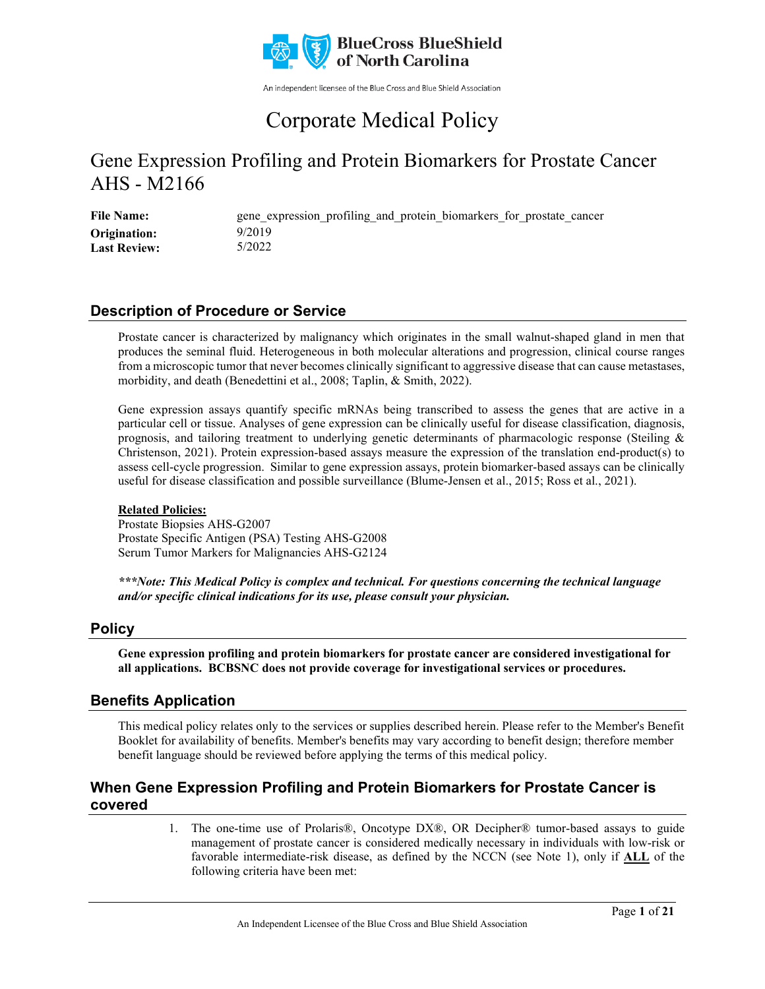

An independent licensee of the Blue Cross and Blue Shield Association

# Corporate Medical Policy

## Gene Expression Profiling and Protein Biomarkers for Prostate Cancer AHS - M2166

File Name: gene\_expression\_profiling\_and\_protein\_biomarkers\_for\_prostate\_cancer 9/2019 5/2022 **Origination: Last Review:**

### **Description of Procedure or Service**

Prostate cancer is characterized by malignancy which originates in the small walnut-shaped gland in men that produces the seminal fluid. Heterogeneous in both molecular alterations and progression, clinical course ranges from a microscopic tumor that never becomes clinically significant to aggressive disease that can cause metastases, morbidity, and death (Benedettini et al., 2008; Taplin, & Smith, 2022).

Gene expression assays quantify specific mRNAs being transcribed to assess the genes that are active in a particular cell or tissue. Analyses of gene expression can be clinically useful for disease classification, diagnosis, prognosis, and tailoring treatment to underlying genetic determinants of pharmacologic response (Steiling & Christenson, 2021). Protein expression-based assays measure the expression of the translation end-product(s) to assess cell-cycle progression. Similar to gene expression assays, protein biomarker-based assays can be clinically useful for disease classification and possible surveillance (Blume-Jensen et al., 2015; Ross et al., 2021).

### **Related Policies:**

Prostate Biopsies AHS-G2007 Prostate Specific Antigen (PSA) Testing AHS-G2008 Serum Tumor Markers for Malignancies AHS-G2124

*\*\*\*Note: This Medical Policy is complex and technical. For questions concerning the technical language and/or specific clinical indications for its use, please consult your physician.*

### **Policy**

**Gene expression profiling and protein biomarkers for prostate cancer are considered investigational for all applications. BCBSNC does not provide coverage for investigational services or procedures.**

### **Benefits Application**

This medical policy relates only to the services or supplies described herein. Please refer to the Member's Benefit Booklet for availability of benefits. Member's benefits may vary according to benefit design; therefore member benefit language should be reviewed before applying the terms of this medical policy.

### **When Gene Expression Profiling and Protein Biomarkers for Prostate Cancer is covered**

1. The one-time use of Prolaris®, Oncotype DX®, OR Decipher® tumor-based assays to guide management of prostate cancer is considered medically necessary in individuals with low-risk or favorable intermediate-risk disease, as defined by the NCCN (see Note 1), only if **ALL** of the following criteria have been met: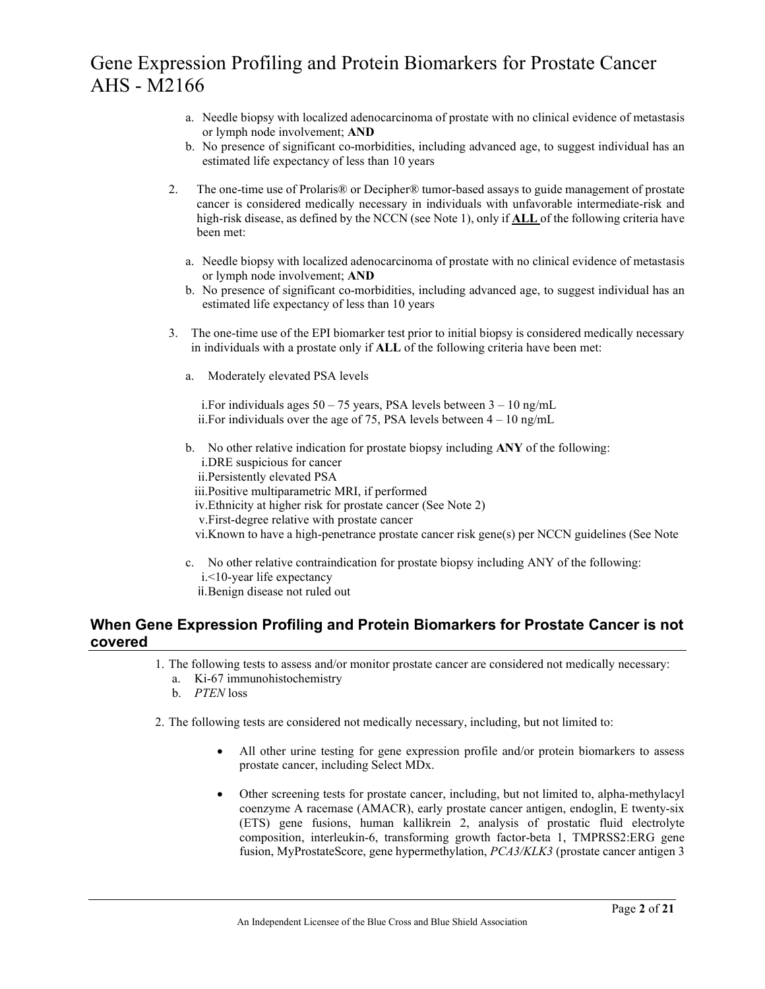- a. Needle biopsy with localized adenocarcinoma of prostate with no clinical evidence of metastasis or lymph node involvement; **AND**
- b. No presence of significant co-morbidities, including advanced age, to suggest individual has an estimated life expectancy of less than 10 years
- 2. The one-time use of Prolaris® or Decipher® tumor-based assays to guide management of prostate cancer is considered medically necessary in individuals with unfavorable intermediate-risk and high-risk disease, as defined by the NCCN (see Note 1), only if **ALL** of the following criteria have been met:
	- a. Needle biopsy with localized adenocarcinoma of prostate with no clinical evidence of metastasis or lymph node involvement; **AND**
	- b. No presence of significant co-morbidities, including advanced age, to suggest individual has an estimated life expectancy of less than 10 years
- 3. The one-time use of the EPI biomarker test prior to initial biopsy is considered medically necessary in individuals with a prostate only if **ALL** of the following criteria have been met:
	- a. Moderately elevated PSA levels

i. For individuals ages  $50 - 75$  years, PSA levels between  $3 - 10$  ng/mL ii. For individuals over the age of 75, PSA levels between  $4 - 10$  ng/mL

- b. No other relative indication for prostate biopsy including **ANY** of the following: i.DRE suspicious for cancer
	- ii.Persistently elevated PSA

#### iii.Positive multiparametric MRI, if performed

- iv.Ethnicity at higher risk for prostate cancer (See Note 2)
- v.First-degree relative with prostate cancer
- vi.Known to have a high-penetrance prostate cancer risk gene(s) per NCCN guidelines (See Note
- c. No other relative contraindication for prostate biopsy including ANY of the following: i.<10-year life expectancy
	- ii.Benign disease not ruled out

### **When Gene Expression Profiling and Protein Biomarkers for Prostate Cancer is not covered**

- 1. The following tests to assess and/or monitor prostate cancer are considered not medically necessary:
	- a. Ki-67 immunohistochemistry
	- b. *PTEN* loss
- 2. The following tests are considered not medically necessary, including, but not limited to:
	- All other urine testing for gene expression profile and/or protein biomarkers to assess prostate cancer, including Select MDx.
	- Other screening tests for prostate cancer, including, but not limited to, alpha-methylacyl coenzyme A racemase (AMACR), early prostate cancer antigen, endoglin, E twenty-six (ETS) gene fusions, human kallikrein 2, analysis of prostatic fluid electrolyte composition, interleukin-6, transforming growth factor-beta 1, TMPRSS2:ERG gene fusion, MyProstateScore, gene hypermethylation, *PCA3/KLK3* (prostate cancer antigen 3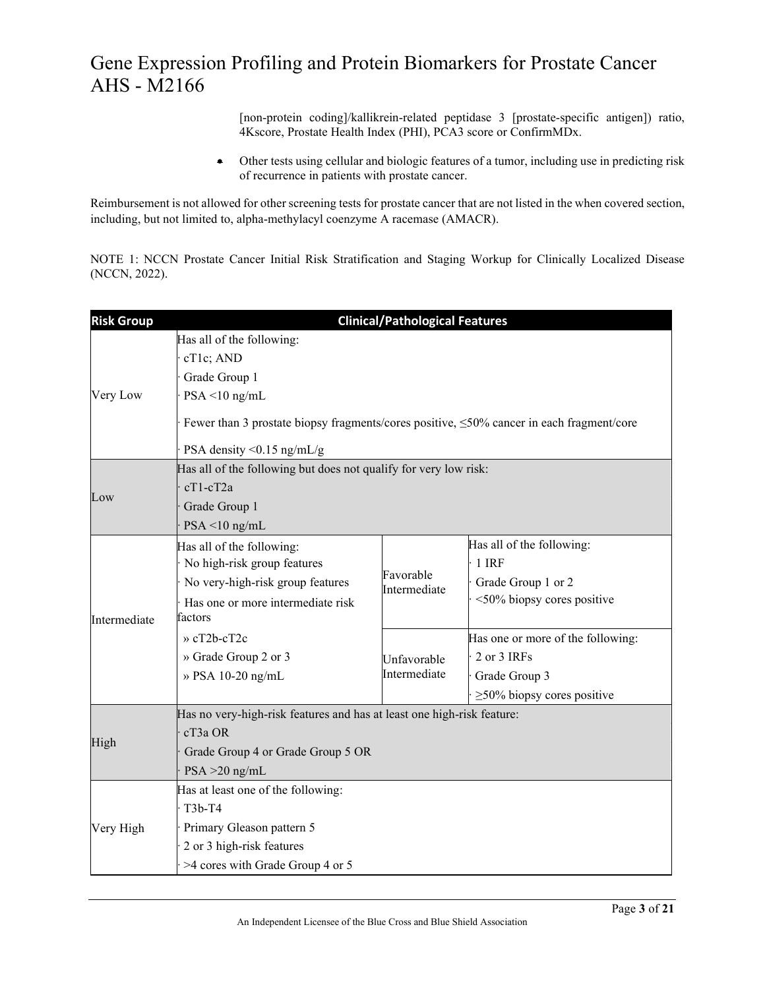[non-protein coding]/kallikrein-related peptidase 3 [prostate-specific antigen]) ratio, 4Kscore, Prostate Health Index (PHI), PCA3 score or ConfirmMDx.

• Other tests using cellular and biologic features of a tumor, including use in predicting risk of recurrence in patients with prostate cancer.

Reimbursement is not allowed for other screening tests for prostate cancer that are not listed in the when covered section, including, but not limited to, alpha-methylacyl coenzyme A racemase (AMACR).

NOTE 1: NCCN Prostate Cancer Initial Risk Stratification and Staging Workup for Clinically Localized Disease (NCCN, 2022).

| <b>Risk Group</b> | <b>Clinical/Pathological Features</b>                                                                                                                                                                            |                             |                                                                                                       |  |
|-------------------|------------------------------------------------------------------------------------------------------------------------------------------------------------------------------------------------------------------|-----------------------------|-------------------------------------------------------------------------------------------------------|--|
| Very Low          | Has all of the following:<br>cT1c; AND<br>Grade Group 1<br>$PSA < 10$ ng/mL<br>Fewer than 3 prostate biopsy fragments/cores positive, $\leq$ 50% cancer in each fragment/core<br>PSA density $\leq 0.15$ ng/mL/g |                             |                                                                                                       |  |
| Low               | Has all of the following but does not qualify for very low risk:<br>$cT1-cT2a$<br>Grade Group 1<br>$PSA < 10$ ng/mL                                                                                              |                             |                                                                                                       |  |
| Intermediate      | Has all of the following:<br>No high-risk group features<br>No very-high-risk group features<br>Has one or more intermediate risk<br>factors                                                                     | Favorable<br>Intermediate   | Has all of the following:<br>1 IRF<br>Grade Group 1 or 2<br><50% biopsy cores positive                |  |
|                   | $\alpha$ cT2b-cT2c<br>» Grade Group 2 or 3<br>» PSA 10-20 ng/mL                                                                                                                                                  | Unfavorable<br>Intermediate | Has one or more of the following:<br>2 or 3 IRFs<br>Grade Group 3<br>$\geq$ 50% biopsy cores positive |  |
| High              | Has no very-high-risk features and has at least one high-risk feature:<br>$cT3a$ OR<br>Grade Group 4 or Grade Group 5 OR<br>$PSA > 20$ ng/mL                                                                     |                             |                                                                                                       |  |
| Very High         | Has at least one of the following:<br>$T3b-T4$<br>Primary Gleason pattern 5<br>2 or 3 high-risk features<br>>4 cores with Grade Group 4 or 5                                                                     |                             |                                                                                                       |  |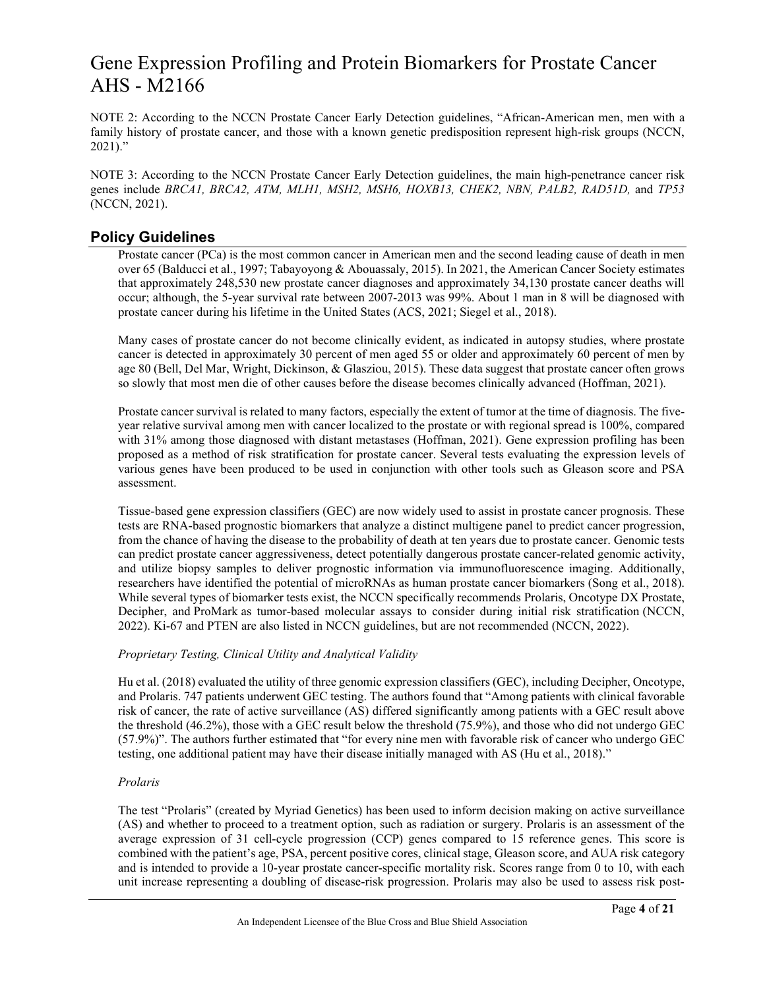NOTE 2: According to the NCCN Prostate Cancer Early Detection guidelines, "African-American men, men with a family history of prostate cancer, and those with a known genetic predisposition represent high-risk groups (NCCN, 2021)."

NOTE 3: According to the NCCN Prostate Cancer Early Detection guidelines, the main high-penetrance cancer risk genes include *BRCA1, BRCA2, ATM, MLH1, MSH2, MSH6, HOXB13, CHEK2, NBN, PALB2, RAD51D,* and *TP53* (NCCN, 2021).

### **Policy Guidelines**

Prostate cancer (PCa) is the most common cancer in American men and the second leading cause of death in men over 65 (Balducci et al., 1997; Tabayoyong & Abouassaly, 2015). In 2021, the American Cancer Society estimates that approximately 248,530 new prostate cancer diagnoses and approximately 34,130 prostate cancer deaths will occur; although, the 5-year survival rate between 2007-2013 was 99%. About 1 man in 8 will be diagnosed with prostate cancer during his lifetime in the United States (ACS, 2021; Siegel et al., 2018).

Many cases of prostate cancer do not become clinically evident, as indicated in autopsy studies, where prostate cancer is detected in approximately 30 percent of men aged 55 or older and approximately 60 percent of men by age 80 (Bell, Del Mar, Wright, Dickinson, & Glasziou, 2015). These data suggest that prostate cancer often grows so slowly that most men die of other causes before the disease becomes clinically advanced (Hoffman, 2021).

Prostate cancer survival is related to many factors, especially the extent of tumor at the time of diagnosis. The fiveyear relative survival among men with cancer localized to the prostate or with regional spread is 100%, compared with 31% among those diagnosed with distant metastases (Hoffman, 2021). Gene expression profiling has been proposed as a method of risk stratification for prostate cancer. Several tests evaluating the expression levels of various genes have been produced to be used in conjunction with other tools such as Gleason score and PSA assessment.

Tissue-based gene expression classifiers (GEC) are now widely used to assist in prostate cancer prognosis. These tests are RNA-based prognostic biomarkers that analyze a distinct multigene panel to predict cancer progression, from the chance of having the disease to the probability of death at ten years due to prostate cancer. Genomic tests can predict prostate cancer aggressiveness, detect potentially dangerous prostate cancer-related genomic activity, and utilize biopsy samples to deliver prognostic information via immunofluorescence imaging. Additionally, researchers have identified the potential of microRNAs as human prostate cancer biomarkers (Song et al., 2018). While several types of biomarker tests exist, the NCCN specifically recommends Prolaris, Oncotype DX Prostate, Decipher, and ProMark as tumor-based molecular assays to consider during initial risk stratification (NCCN, 2022). Ki-67 and PTEN are also listed in NCCN guidelines, but are not recommended (NCCN, 2022).

### *Proprietary Testing, Clinical Utility and Analytical Validity*

Hu et al. (2018) evaluated the utility of three genomic expression classifiers (GEC), including Decipher, Oncotype, and Prolaris. 747 patients underwent GEC testing. The authors found that "Among patients with clinical favorable risk of cancer, the rate of active surveillance (AS) differed significantly among patients with a GEC result above the threshold (46.2%), those with a GEC result below the threshold (75.9%), and those who did not undergo GEC (57.9%)". The authors further estimated that "for every nine men with favorable risk of cancer who undergo GEC testing, one additional patient may have their disease initially managed with AS (Hu et al., 2018)."

### *Prolaris*

The test "Prolaris" (created by Myriad Genetics) has been used to inform decision making on active surveillance (AS) and whether to proceed to a treatment option, such as radiation or surgery. Prolaris is an assessment of the average expression of 31 cell-cycle progression (CCP) genes compared to 15 reference genes. This score is combined with the patient's age, PSA, percent positive cores, clinical stage, Gleason score, and AUA risk category and is intended to provide a 10-year prostate cancer-specific mortality risk. Scores range from 0 to 10, with each unit increase representing a doubling of disease-risk progression. Prolaris may also be used to assess risk post-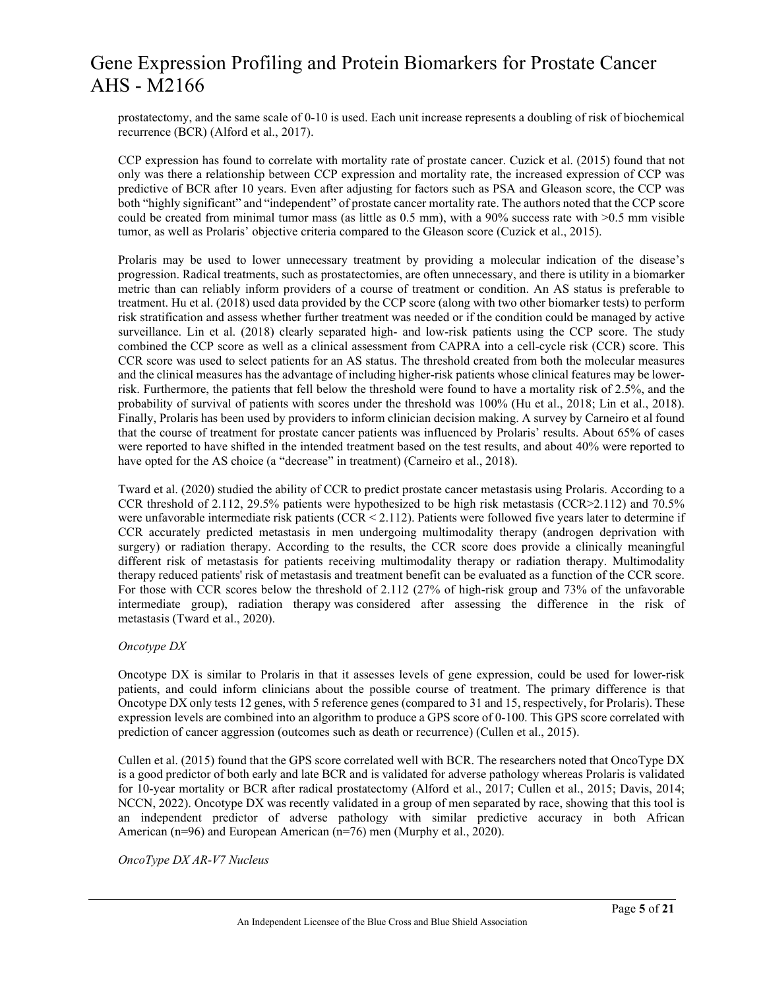prostatectomy, and the same scale of 0-10 is used. Each unit increase represents a doubling of risk of biochemical recurrence (BCR) (Alford et al., 2017).

CCP expression has found to correlate with mortality rate of prostate cancer. Cuzick et al. (2015) found that not only was there a relationship between CCP expression and mortality rate, the increased expression of CCP was predictive of BCR after 10 years. Even after adjusting for factors such as PSA and Gleason score, the CCP was both "highly significant" and "independent" of prostate cancer mortality rate. The authors noted that the CCP score could be created from minimal tumor mass (as little as 0.5 mm), with a 90% success rate with >0.5 mm visible tumor, as well as Prolaris' objective criteria compared to the Gleason score (Cuzick et al., 2015).

Prolaris may be used to lower unnecessary treatment by providing a molecular indication of the disease's progression. Radical treatments, such as prostatectomies, are often unnecessary, and there is utility in a biomarker metric than can reliably inform providers of a course of treatment or condition. An AS status is preferable to treatment. Hu et al. (2018) used data provided by the CCP score (along with two other biomarker tests) to perform risk stratification and assess whether further treatment was needed or if the condition could be managed by active surveillance. Lin et al. (2018) clearly separated high- and low-risk patients using the CCP score. The study combined the CCP score as well as a clinical assessment from CAPRA into a cell-cycle risk (CCR) score. This CCR score was used to select patients for an AS status. The threshold created from both the molecular measures and the clinical measures has the advantage of including higher-risk patients whose clinical features may be lowerrisk. Furthermore, the patients that fell below the threshold were found to have a mortality risk of 2.5%, and the probability of survival of patients with scores under the threshold was 100% (Hu et al., 2018; Lin et al., 2018). Finally, Prolaris has been used by providers to inform clinician decision making. A survey by Carneiro et al found that the course of treatment for prostate cancer patients was influenced by Prolaris' results. About 65% of cases were reported to have shifted in the intended treatment based on the test results, and about 40% were reported to have opted for the AS choice (a "decrease" in treatment) (Carneiro et al., 2018).

Tward et al. (2020) studied the ability of CCR to predict prostate cancer metastasis using Prolaris. According to a CCR threshold of 2.112, 29.5% patients were hypothesized to be high risk metastasis (CCR>2.112) and 70.5% were unfavorable intermediate risk patients (CCR < 2.112). Patients were followed five years later to determine if CCR accurately predicted metastasis in men undergoing multimodality therapy (androgen deprivation with surgery) or radiation therapy. According to the results, the CCR score does provide a clinically meaningful different risk of metastasis for patients receiving multimodality therapy or radiation therapy. Multimodality therapy reduced patients' risk of metastasis and treatment benefit can be evaluated as a function of the CCR score. For those with CCR scores below the threshold of 2.112 (27% of high-risk group and 73% of the unfavorable intermediate group), radiation therapy was considered after assessing the difference in the risk of metastasis (Tward et al., 2020).

### *Oncotype DX*

Oncotype DX is similar to Prolaris in that it assesses levels of gene expression, could be used for lower-risk patients, and could inform clinicians about the possible course of treatment. The primary difference is that Oncotype DX only tests 12 genes, with 5 reference genes (compared to 31 and 15, respectively, for Prolaris). These expression levels are combined into an algorithm to produce a GPS score of 0-100. This GPS score correlated with prediction of cancer aggression (outcomes such as death or recurrence) (Cullen et al., 2015).

Cullen et al. (2015) found that the GPS score correlated well with BCR. The researchers noted that OncoType DX is a good predictor of both early and late BCR and is validated for adverse pathology whereas Prolaris is validated for 10-year mortality or BCR after radical prostatectomy (Alford et al., 2017; Cullen et al., 2015; Davis, 2014; NCCN, 2022). Oncotype DX was recently validated in a group of men separated by race, showing that this tool is an independent predictor of adverse pathology with similar predictive accuracy in both African American (n=96) and European American (n=76) men (Murphy et al., 2020).

*OncoType DX AR-V7 Nucleus*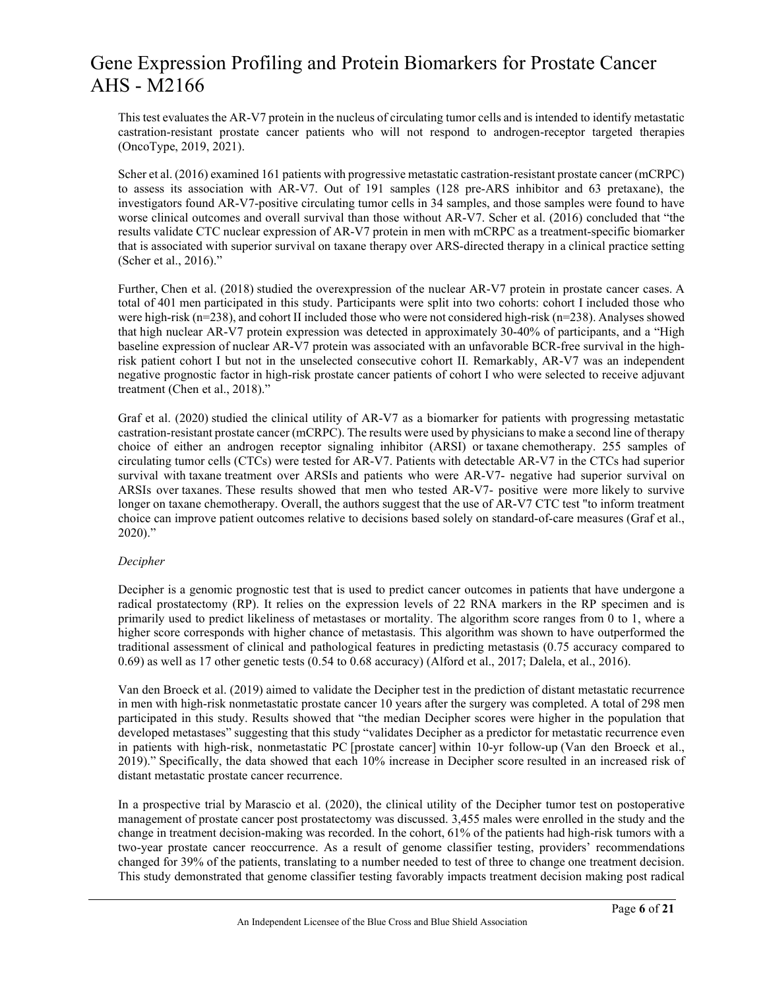This test evaluates the AR-V7 protein in the nucleus of circulating tumor cells and is intended to identify metastatic castration-resistant prostate cancer patients who will not respond to androgen-receptor targeted therapies (OncoType, 2019, 2021).

Scher et al. (2016) examined 161 patients with progressive metastatic castration-resistant prostate cancer (mCRPC) to assess its association with AR-V7. Out of 191 samples (128 pre-ARS inhibitor and 63 pretaxane), the investigators found AR-V7-positive circulating tumor cells in 34 samples, and those samples were found to have worse clinical outcomes and overall survival than those without AR-V7. Scher et al. (2016) concluded that "the results validate CTC nuclear expression of AR-V7 protein in men with mCRPC as a treatment-specific biomarker that is associated with superior survival on taxane therapy over ARS-directed therapy in a clinical practice setting (Scher et al., 2016)."

Further, Chen et al. (2018) studied the overexpression of the nuclear AR-V7 protein in prostate cancer cases. A total of 401 men participated in this study. Participants were split into two cohorts: cohort I included those who were high-risk (n=238), and cohort II included those who were not considered high-risk (n=238). Analyses showed that high nuclear AR-V7 protein expression was detected in approximately 30-40% of participants, and a "High baseline expression of nuclear AR-V7 protein was associated with an unfavorable BCR-free survival in the highrisk patient cohort I but not in the unselected consecutive cohort II. Remarkably, AR-V7 was an independent negative prognostic factor in high-risk prostate cancer patients of cohort I who were selected to receive adjuvant treatment (Chen et al., 2018)."

Graf et al. (2020) studied the clinical utility of AR-V7 as a biomarker for patients with progressing metastatic castration-resistant prostate cancer (mCRPC). The results were used by physicians to make a second line of therapy choice of either an androgen receptor signaling inhibitor (ARSI) or taxane chemotherapy. 255 samples of circulating tumor cells (CTCs) were tested for AR-V7. Patients with detectable AR-V7 in the CTCs had superior survival with taxane treatment over ARSIs and patients who were AR-V7- negative had superior survival on ARSIs over taxanes. These results showed that men who tested AR-V7- positive were more likely to survive longer on taxane chemotherapy. Overall, the authors suggest that the use of AR-V7 CTC test "to inform treatment choice can improve patient outcomes relative to decisions based solely on standard-of-care measures (Graf et al., 2020)."

#### *Decipher*

Decipher is a genomic prognostic test that is used to predict cancer outcomes in patients that have undergone a radical prostatectomy (RP). It relies on the expression levels of 22 RNA markers in the RP specimen and is primarily used to predict likeliness of metastases or mortality. The algorithm score ranges from 0 to 1, where a higher score corresponds with higher chance of metastasis. This algorithm was shown to have outperformed the traditional assessment of clinical and pathological features in predicting metastasis (0.75 accuracy compared to 0.69) as well as 17 other genetic tests (0.54 to 0.68 accuracy) (Alford et al., 2017; Dalela, et al., 2016).

Van den Broeck et al. (2019) aimed to validate the Decipher test in the prediction of distant metastatic recurrence in men with high-risk nonmetastatic prostate cancer 10 years after the surgery was completed. A total of 298 men participated in this study. Results showed that "the median Decipher scores were higher in the population that developed metastases" suggesting that this study "validates Decipher as a predictor for metastatic recurrence even in patients with high-risk, nonmetastatic PC [prostate cancer] within 10-yr follow-up (Van den Broeck et al., 2019)." Specifically, the data showed that each 10% increase in Decipher score resulted in an increased risk of distant metastatic prostate cancer recurrence.

In a prospective trial by Marascio et al. (2020), the clinical utility of the Decipher tumor test on postoperative management of prostate cancer post prostatectomy was discussed. 3,455 males were enrolled in the study and the change in treatment decision-making was recorded. In the cohort, 61% of the patients had high-risk tumors with a two-year prostate cancer reoccurrence. As a result of genome classifier testing, providers' recommendations changed for 39% of the patients, translating to a number needed to test of three to change one treatment decision. This study demonstrated that genome classifier testing favorably impacts treatment decision making post radical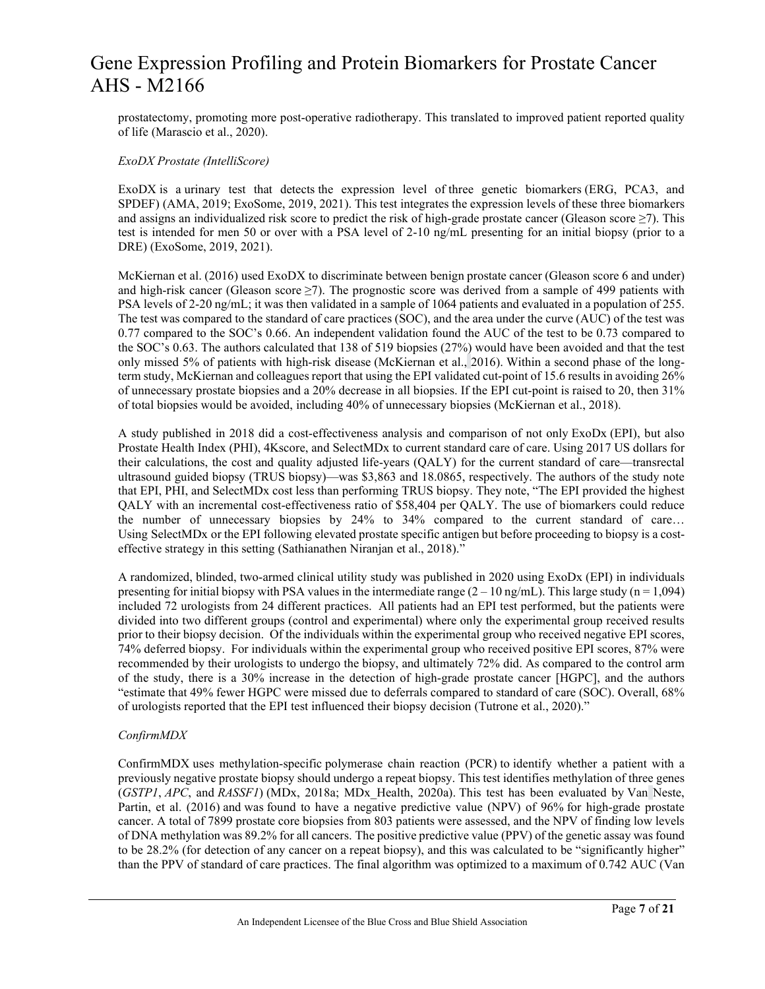prostatectomy, promoting more post-operative radiotherapy. This translated to improved patient reported quality of life (Marascio et al., 2020).

#### *ExoDX Prostate (IntelliScore)*

ExoDX is a urinary test that detects the expression level of three genetic biomarkers (ERG, PCA3, and SPDEF) (AMA, 2019; ExoSome, 2019, 2021). This test integrates the expression levels of these three biomarkers and assigns an individualized risk score to predict the risk of high-grade prostate cancer (Gleason score  $\geq$ 7). This test is intended for men 50 or over with a PSA level of 2-10 ng/mL presenting for an initial biopsy (prior to a DRE) (ExoSome, 2019, 2021).

McKiernan et al. (2016) used ExoDX to discriminate between benign prostate cancer (Gleason score 6 and under) and high-risk cancer (Gleason score  $\geq$ 7). The prognostic score was derived from a sample of 499 patients with PSA levels of 2-20 ng/mL; it was then validated in a sample of 1064 patients and evaluated in a population of 255. The test was compared to the standard of care practices (SOC), and the area under the curve (AUC) of the test was 0.77 compared to the SOC's 0.66. An independent validation found the AUC of the test to be 0.73 compared to the SOC's 0.63. The authors calculated that 138 of 519 biopsies (27%) would have been avoided and that the test only missed 5% of patients with high-risk disease (McKiernan et al., 2016). Within a second phase of the longterm study, McKiernan and colleagues report that using the EPI validated cut-point of 15.6 results in avoiding 26% of unnecessary prostate biopsies and a 20% decrease in all biopsies. If the EPI cut-point is raised to 20, then 31% of total biopsies would be avoided, including 40% of unnecessary biopsies (McKiernan et al., 2018).

A study published in 2018 did a cost-effectiveness analysis and comparison of not only ExoDx (EPI), but also Prostate Health Index (PHI), 4Kscore, and SelectMDx to current standard care of care. Using 2017 US dollars for their calculations, the cost and quality adjusted life-years (QALY) for the current standard of care—transrectal ultrasound guided biopsy (TRUS biopsy)—was \$3,863 and 18.0865, respectively. The authors of the study note that EPI, PHI, and SelectMDx cost less than performing TRUS biopsy. They note, "The EPI provided the highest QALY with an incremental cost-effectiveness ratio of \$58,404 per QALY. The use of biomarkers could reduce the number of unnecessary biopsies by 24% to 34% compared to the current standard of care… Using SelectMDx or the EPI following elevated prostate specific antigen but before proceeding to biopsy is a costeffective strategy in this setting (Sathianathen Niranjan et al., 2018)."

A randomized, blinded, two-armed clinical utility study was published in 2020 using ExoDx (EPI) in individuals presenting for initial biopsy with PSA values in the intermediate range  $(2 - 10 \text{ ng/mL})$ . This large study (n = 1,094) included 72 urologists from 24 different practices. All patients had an EPI test performed, but the patients were divided into two different groups (control and experimental) where only the experimental group received results prior to their biopsy decision. Of the individuals within the experimental group who received negative EPI scores, 74% deferred biopsy. For individuals within the experimental group who received positive EPI scores, 87% were recommended by their urologists to undergo the biopsy, and ultimately 72% did. As compared to the control arm of the study, there is a 30% increase in the detection of high-grade prostate cancer [HGPC], and the authors "estimate that 49% fewer HGPC were missed due to deferrals compared to standard of care (SOC). Overall, 68% of urologists reported that the EPI test influenced their biopsy decision (Tutrone et al., 2020)."

### *ConfirmMDX*

ConfirmMDX uses methylation-specific polymerase chain reaction (PCR) to identify whether a patient with a previously negative prostate biopsy should undergo a repeat biopsy. This test identifies methylation of three genes (*GSTP1*, *APC*, and *RASSF1*) (MDx, 2018a; MDx\_Health, 2020a). This test has been evaluated by Van Neste, Partin, et al. (2016) and was found to have a negative predictive value (NPV) of 96% for high-grade prostate cancer. A total of 7899 prostate core biopsies from 803 patients were assessed, and the NPV of finding low levels of DNA methylation was 89.2% for all cancers. The positive predictive value (PPV) of the genetic assay was found to be 28.2% (for detection of any cancer on a repeat biopsy), and this was calculated to be "significantly higher" than the PPV of standard of care practices. The final algorithm was optimized to a maximum of 0.742 AUC (Van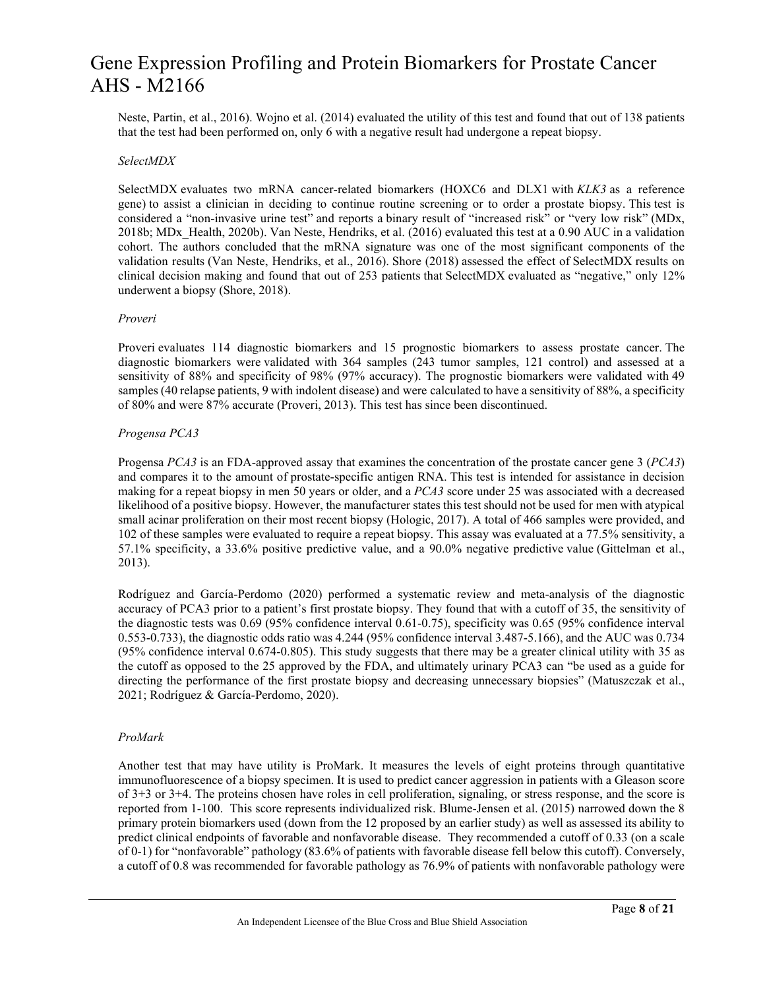Neste, Partin, et al., 2016). Wojno et al. (2014) evaluated the utility of this test and found that out of 138 patients that the test had been performed on, only 6 with a negative result had undergone a repeat biopsy.

#### *SelectMDX*

SelectMDX evaluates two mRNA cancer-related biomarkers (HOXC6 and DLX1 with *KLK3* as a reference gene) to assist a clinician in deciding to continue routine screening or to order a prostate biopsy. This test is considered a "non-invasive urine test" and reports a binary result of "increased risk" or "very low risk" (MDx, 2018b; MDx\_Health, 2020b). Van Neste, Hendriks, et al. (2016) evaluated this test at a 0.90 AUC in a validation cohort. The authors concluded that the mRNA signature was one of the most significant components of the validation results (Van Neste, Hendriks, et al., 2016). Shore (2018) assessed the effect of SelectMDX results on clinical decision making and found that out of 253 patients that SelectMDX evaluated as "negative," only 12% underwent a biopsy (Shore, 2018).

#### *Proveri*

Proveri evaluates 114 diagnostic biomarkers and 15 prognostic biomarkers to assess prostate cancer. The diagnostic biomarkers were validated with 364 samples (243 tumor samples, 121 control) and assessed at a sensitivity of 88% and specificity of 98% (97% accuracy). The prognostic biomarkers were validated with 49 samples (40 relapse patients, 9 with indolent disease) and were calculated to have a sensitivity of 88%, a specificity of 80% and were 87% accurate (Proveri, 2013). This test has since been discontinued.

#### *Progensa PCA3*

Progensa *PCA3* is an FDA-approved assay that examines the concentration of the prostate cancer gene 3 (*PCA3*) and compares it to the amount of prostate-specific antigen RNA. This test is intended for assistance in decision making for a repeat biopsy in men 50 years or older, and a *PCA3* score under 25 was associated with a decreased likelihood of a positive biopsy. However, the manufacturer states this test should not be used for men with atypical small acinar proliferation on their most recent biopsy (Hologic, 2017). A total of 466 samples were provided, and 102 of these samples were evaluated to require a repeat biopsy. This assay was evaluated at a 77.5% sensitivity, a 57.1% specificity, a 33.6% positive predictive value, and a 90.0% negative predictive value (Gittelman et al., 2013).

Rodríguez and García-Perdomo (2020) performed a systematic review and meta-analysis of the diagnostic accuracy of PCA3 prior to a patient's first prostate biopsy. They found that with a cutoff of 35, the sensitivity of the diagnostic tests was 0.69 (95% confidence interval 0.61-0.75), specificity was 0.65 (95% confidence interval 0.553-0.733), the diagnostic odds ratio was 4.244 (95% confidence interval 3.487-5.166), and the AUC was 0.734 (95% confidence interval 0.674-0.805). This study suggests that there may be a greater clinical utility with 35 as the cutoff as opposed to the 25 approved by the FDA, and ultimately urinary PCA3 can "be used as a guide for directing the performance of the first prostate biopsy and decreasing unnecessary biopsies" (Matuszczak et al., 2021; Rodríguez & García-Perdomo, 2020).

#### *ProMark*

Another test that may have utility is ProMark. It measures the levels of eight proteins through quantitative immunofluorescence of a biopsy specimen. It is used to predict cancer aggression in patients with a Gleason score of 3+3 or 3+4. The proteins chosen have roles in cell proliferation, signaling, or stress response, and the score is reported from 1-100. This score represents individualized risk. Blume-Jensen et al. (2015) narrowed down the 8 primary protein biomarkers used (down from the 12 proposed by an earlier study) as well as assessed its ability to predict clinical endpoints of favorable and nonfavorable disease. They recommended a cutoff of 0.33 (on a scale of 0-1) for "nonfavorable" pathology (83.6% of patients with favorable disease fell below this cutoff). Conversely, a cutoff of 0.8 was recommended for favorable pathology as 76.9% of patients with nonfavorable pathology were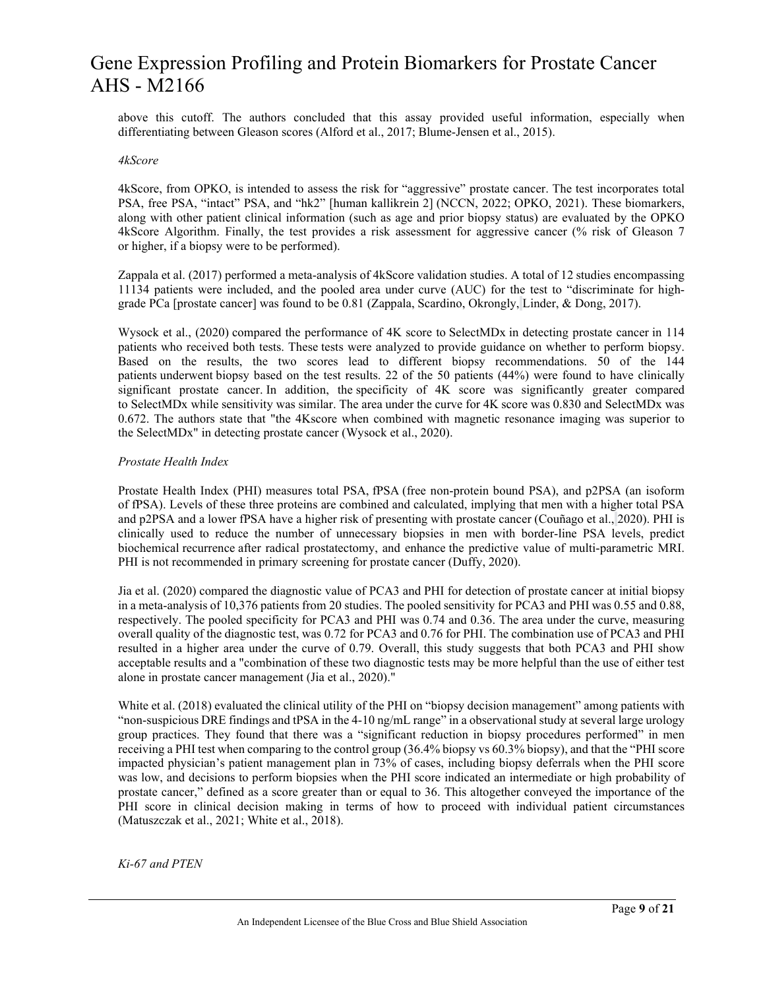above this cutoff. The authors concluded that this assay provided useful information, especially when differentiating between Gleason scores (Alford et al., 2017; Blume-Jensen et al., 2015).

#### *4kScore*

4kScore, from OPKO, is intended to assess the risk for "aggressive" prostate cancer. The test incorporates total PSA, free PSA, "intact" PSA, and "hk2" [human kallikrein 2] (NCCN, 2022; OPKO, 2021). These biomarkers, along with other patient clinical information (such as age and prior biopsy status) are evaluated by the OPKO 4kScore Algorithm. Finally, the test provides a risk assessment for aggressive cancer (% risk of Gleason 7 or higher, if a biopsy were to be performed).

Zappala et al. (2017) performed a meta-analysis of 4kScore validation studies. A total of 12 studies encompassing 11134 patients were included, and the pooled area under curve (AUC) for the test to "discriminate for highgrade PCa [prostate cancer] was found to be 0.81 (Zappala, Scardino, Okrongly, Linder, & Dong, 2017).

Wysock et al., (2020) compared the performance of 4K score to SelectMDx in detecting prostate cancer in 114 patients who received both tests. These tests were analyzed to provide guidance on whether to perform biopsy. Based on the results, the two scores lead to different biopsy recommendations. 50 of the 144 patients underwent biopsy based on the test results. 22 of the 50 patients (44%) were found to have clinically significant prostate cancer. In addition, the specificity of 4K score was significantly greater compared to SelectMDx while sensitivity was similar. The area under the curve for 4K score was 0.830 and SelectMDx was 0.672. The authors state that "the 4Kscore when combined with magnetic resonance imaging was superior to the SelectMDx" in detecting prostate cancer (Wysock et al., 2020).

#### *Prostate Health Index*

Prostate Health Index (PHI) measures total PSA, fPSA (free non-protein bound PSA), and p2PSA (an isoform of fPSA). Levels of these three proteins are combined and calculated, implying that men with a higher total PSA and p2PSA and a lower fPSA have a higher risk of presenting with prostate cancer (Couñago et al., 2020). PHI is clinically used to reduce the number of unnecessary biopsies in men with border-line PSA levels, predict biochemical recurrence after radical prostatectomy, and enhance the predictive value of multi-parametric MRI. PHI is not recommended in primary screening for prostate cancer (Duffy, 2020).

Jia et al. (2020) compared the diagnostic value of PCA3 and PHI for detection of prostate cancer at initial biopsy in a meta-analysis of 10,376 patients from 20 studies. The pooled sensitivity for PCA3 and PHI was 0.55 and 0.88, respectively. The pooled specificity for PCA3 and PHI was 0.74 and 0.36. The area under the curve, measuring overall quality of the diagnostic test, was 0.72 for PCA3 and 0.76 for PHI. The combination use of PCA3 and PHI resulted in a higher area under the curve of 0.79. Overall, this study suggests that both PCA3 and PHI show acceptable results and a "combination of these two diagnostic tests may be more helpful than the use of either test alone in prostate cancer management (Jia et al., 2020)."

White et al. (2018) evaluated the clinical utility of the PHI on "biopsy decision management" among patients with "non-suspicious DRE findings and tPSA in the 4-10 ng/mL range" in a observational study at several large urology group practices. They found that there was a "significant reduction in biopsy procedures performed" in men receiving a PHI test when comparing to the control group (36.4% biopsy vs 60.3% biopsy), and that the "PHI score impacted physician's patient management plan in 73% of cases, including biopsy deferrals when the PHI score was low, and decisions to perform biopsies when the PHI score indicated an intermediate or high probability of prostate cancer," defined as a score greater than or equal to 36. This altogether conveyed the importance of the PHI score in clinical decision making in terms of how to proceed with individual patient circumstances (Matuszczak et al., 2021; White et al., 2018).

*Ki-67 and PTEN*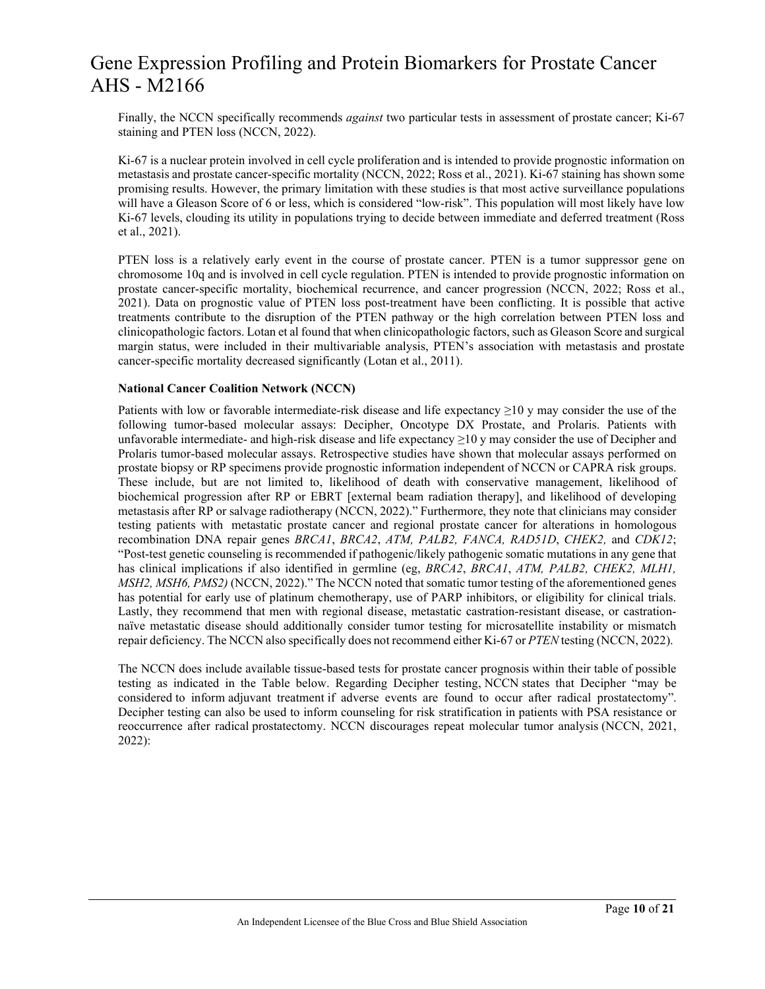Finally, the NCCN specifically recommends *against* two particular tests in assessment of prostate cancer; Ki-67 staining and PTEN loss (NCCN, 2022).

Ki-67 is a nuclear protein involved in cell cycle proliferation and is intended to provide prognostic information on metastasis and prostate cancer-specific mortality (NCCN, 2022; Ross et al., 2021). Ki-67 staining has shown some promising results. However, the primary limitation with these studies is that most active surveillance populations will have a Gleason Score of 6 or less, which is considered "low-risk". This population will most likely have low Ki-67 levels, clouding its utility in populations trying to decide between immediate and deferred treatment (Ross et al., 2021).

PTEN loss is a relatively early event in the course of prostate cancer. PTEN is a tumor suppressor gene on chromosome 10q and is involved in cell cycle regulation. PTEN is intended to provide prognostic information on prostate cancer-specific mortality, biochemical recurrence, and cancer progression (NCCN, 2022; Ross et al., 2021). Data on prognostic value of PTEN loss post-treatment have been conflicting. It is possible that active treatments contribute to the disruption of the PTEN pathway or the high correlation between PTEN loss and clinicopathologic factors. Lotan et al found that when clinicopathologic factors, such as Gleason Score and surgical margin status, were included in their multivariable analysis, PTEN's association with metastasis and prostate cancer-specific mortality decreased significantly (Lotan et al., 2011).

#### **National Cancer Coalition Network (NCCN)**

Patients with low or favorable intermediate-risk disease and life expectancy ≥10 y may consider the use of the following tumor-based molecular assays: Decipher, Oncotype DX Prostate, and Prolaris. Patients with unfavorable intermediate- and high-risk disease and life expectancy ≥10 y may consider the use of Decipher and Prolaris tumor-based molecular assays. Retrospective studies have shown that molecular assays performed on prostate biopsy or RP specimens provide prognostic information independent of NCCN or CAPRA risk groups. These include, but are not limited to, likelihood of death with conservative management, likelihood of biochemical progression after RP or EBRT [external beam radiation therapy], and likelihood of developing metastasis after RP or salvage radiotherapy (NCCN, 2022)." Furthermore, they note that clinicians may consider testing patients with metastatic prostate cancer and regional prostate cancer for alterations in homologous recombination DNA repair genes *BRCA1*, *BRCA2*, *ATM, PALB2, FANCA, RAD51D*, *CHEK2,* and *CDK12*; "Post-test genetic counseling is recommended if pathogenic/likely pathogenic somatic mutations in any gene that has clinical implications if also identified in germline (eg, *BRCA2*, *BRCA1*, *ATM, PALB2, CHEK2, MLH1, MSH2, MSH6, PMS2)* (NCCN, 2022)." The NCCN noted that somatic tumor testing of the aforementioned genes has potential for early use of platinum chemotherapy, use of PARP inhibitors, or eligibility for clinical trials. Lastly, they recommend that men with regional disease, metastatic castration-resistant disease, or castrationnaïve metastatic disease should additionally consider tumor testing for microsatellite instability or mismatch repair deficiency. The NCCN also specifically does not recommend either Ki-67 or *PTEN* testing (NCCN, 2022).

The NCCN does include available tissue-based tests for prostate cancer prognosis within their table of possible testing as indicated in the Table below. Regarding Decipher testing, NCCN states that Decipher "may be considered to inform adjuvant treatment if adverse events are found to occur after radical prostatectomy". Decipher testing can also be used to inform counseling for risk stratification in patients with PSA resistance or reoccurrence after radical prostatectomy. NCCN discourages repeat molecular tumor analysis (NCCN, 2021, 2022):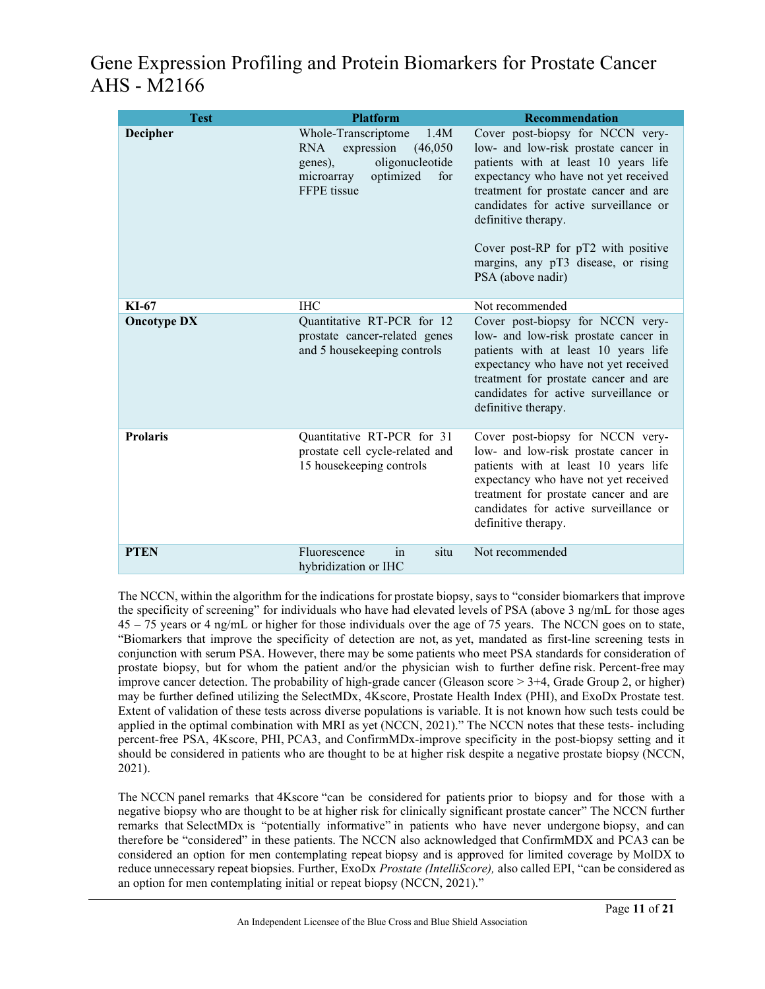| <b>Test</b>        | <b>Platform</b>                                                                                                                                    | <b>Recommendation</b>                                                                                                                                                                                                                                                                                                                                                |
|--------------------|----------------------------------------------------------------------------------------------------------------------------------------------------|----------------------------------------------------------------------------------------------------------------------------------------------------------------------------------------------------------------------------------------------------------------------------------------------------------------------------------------------------------------------|
| Decipher           | Whole-Transcriptome<br>1.4M<br>expression<br><b>RNA</b><br>(46,050)<br>oligonucleotide<br>genes),<br>optimized<br>for<br>microarray<br>FFPE tissue | Cover post-biopsy for NCCN very-<br>low- and low-risk prostate cancer in<br>patients with at least 10 years life<br>expectancy who have not yet received<br>treatment for prostate cancer and are<br>candidates for active surveillance or<br>definitive therapy.<br>Cover post-RP for pT2 with positive<br>margins, any pT3 disease, or rising<br>PSA (above nadir) |
| KI-67              | <b>IHC</b>                                                                                                                                         | Not recommended                                                                                                                                                                                                                                                                                                                                                      |
| <b>Oncotype DX</b> | Quantitative RT-PCR for 12<br>prostate cancer-related genes<br>and 5 housekeeping controls                                                         | Cover post-biopsy for NCCN very-<br>low- and low-risk prostate cancer in<br>patients with at least 10 years life<br>expectancy who have not yet received<br>treatment for prostate cancer and are<br>candidates for active surveillance or<br>definitive therapy.                                                                                                    |
| <b>Prolaris</b>    | Quantitative RT-PCR for 31<br>prostate cell cycle-related and<br>15 housekeeping controls                                                          | Cover post-biopsy for NCCN very-<br>low- and low-risk prostate cancer in<br>patients with at least 10 years life<br>expectancy who have not yet received<br>treatment for prostate cancer and are<br>candidates for active surveillance or<br>definitive therapy.                                                                                                    |
| <b>PTEN</b>        | situ<br>Fluorescence<br>1n<br>hybridization or IHC                                                                                                 | Not recommended                                                                                                                                                                                                                                                                                                                                                      |

The NCCN, within the algorithm for the indications for prostate biopsy, says to "consider biomarkers that improve the specificity of screening" for individuals who have had elevated levels of PSA (above 3 ng/mL for those ages 45 – 75 years or 4 ng/mL or higher for those individuals over the age of 75 years. The NCCN goes on to state, "Biomarkers that improve the specificity of detection are not, as yet, mandated as first-line screening tests in conjunction with serum PSA. However, there may be some patients who meet PSA standards for consideration of prostate biopsy, but for whom the patient and/or the physician wish to further define risk. Percent-free may improve cancer detection. The probability of high-grade cancer (Gleason score > 3+4, Grade Group 2, or higher) may be further defined utilizing the SelectMDx, 4Kscore, Prostate Health Index (PHI), and ExoDx Prostate test. Extent of validation of these tests across diverse populations is variable. It is not known how such tests could be applied in the optimal combination with MRI as yet (NCCN, 2021)." The NCCN notes that these tests- including percent-free PSA, 4Kscore, PHI, PCA3, and ConfirmMDx-improve specificity in the post-biopsy setting and it should be considered in patients who are thought to be at higher risk despite a negative prostate biopsy (NCCN, 2021).

The NCCN panel remarks that 4Kscore "can be considered for patients prior to biopsy and for those with a negative biopsy who are thought to be at higher risk for clinically significant prostate cancer" The NCCN further remarks that SelectMDx is "potentially informative" in patients who have never undergone biopsy, and can therefore be "considered" in these patients. The NCCN also acknowledged that ConfirmMDX and PCA3 can be considered an option for men contemplating repeat biopsy and is approved for limited coverage by MolDX to reduce unnecessary repeat biopsies. Further, ExoDx *Prostate (IntelliScore),* also called EPI, "can be considered as an option for men contemplating initial or repeat biopsy (NCCN, 2021)."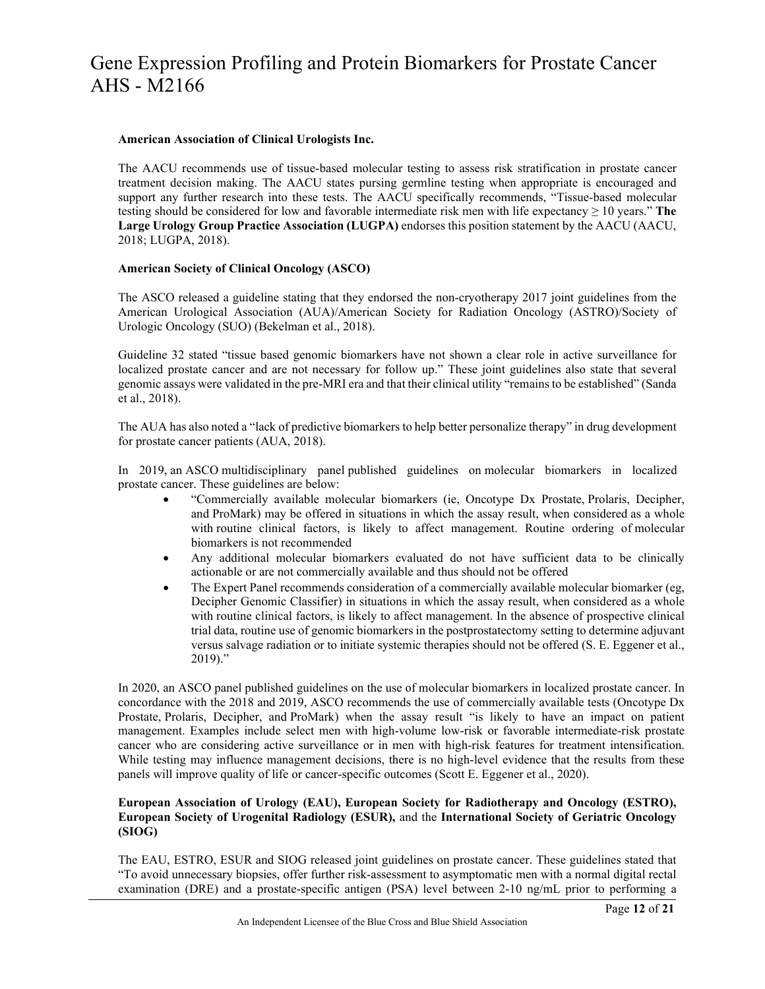#### **American Association of Clinical Urologists Inc.**

The AACU recommends use of tissue-based molecular testing to assess risk stratification in prostate cancer treatment decision making. The AACU states pursing germline testing when appropriate is encouraged and support any further research into these tests. The AACU specifically recommends, "Tissue-based molecular testing should be considered for low and favorable intermediate risk men with life expectancy ≥ 10 years." **The Large Urology Group Practice Association (LUGPA)** endorses this position statement by the AACU (AACU, 2018; LUGPA, 2018).

#### **American Society of Clinical Oncology (ASCO)**

The ASCO released a guideline stating that they endorsed the non-cryotherapy 2017 joint guidelines from the American Urological Association (AUA)/American Society for Radiation Oncology (ASTRO)/Society of Urologic Oncology (SUO) (Bekelman et al., 2018).

Guideline 32 stated "tissue based genomic biomarkers have not shown a clear role in active surveillance for localized prostate cancer and are not necessary for follow up." These joint guidelines also state that several genomic assays were validated in the pre-MRI era and that their clinical utility "remains to be established" (Sanda et al., 2018).

The AUA has also noted a "lack of predictive biomarkers to help better personalize therapy" in drug development for prostate cancer patients (AUA, 2018).

In 2019, an ASCO multidisciplinary panel published guidelines on molecular biomarkers in localized prostate cancer. These guidelines are below:

- "Commercially available molecular biomarkers (ie, Oncotype Dx Prostate, Prolaris, Decipher, and ProMark) may be offered in situations in which the assay result, when considered as a whole with routine clinical factors, is likely to affect management. Routine ordering of molecular biomarkers is not recommended
- Any additional molecular biomarkers evaluated do not have sufficient data to be clinically actionable or are not commercially available and thus should not be offered
- The Expert Panel recommends consideration of a commercially available molecular biomarker (eg, Decipher Genomic Classifier) in situations in which the assay result, when considered as a whole with routine clinical factors, is likely to affect management. In the absence of prospective clinical trial data, routine use of genomic biomarkers in the postprostatectomy setting to determine adjuvant versus salvage radiation or to initiate systemic therapies should not be offered (S. E. Eggener et al., 2019)."

In 2020, an ASCO panel published guidelines on the use of molecular biomarkers in localized prostate cancer. In concordance with the 2018 and 2019, ASCO recommends the use of commercially available tests (Oncotype Dx Prostate, Prolaris, Decipher, and ProMark) when the assay result "is likely to have an impact on patient management. Examples include select men with high-volume low-risk or favorable intermediate-risk prostate cancer who are considering active surveillance or in men with high-risk features for treatment intensification. While testing may influence management decisions, there is no high-level evidence that the results from these panels will improve quality of life or cancer-specific outcomes (Scott E. Eggener et al., 2020).

#### **European Association of Urology (EAU), European Society for Radiotherapy and Oncology (ESTRO), European Society of Urogenital Radiology (ESUR),** and the **International Society of Geriatric Oncology (SIOG)**

The EAU, ESTRO, ESUR and SIOG released joint guidelines on prostate cancer. These guidelines stated that "To avoid unnecessary biopsies, offer further risk-assessment to asymptomatic men with a normal digital rectal examination (DRE) and a prostate-specific antigen (PSA) level between 2-10 ng/mL prior to performing a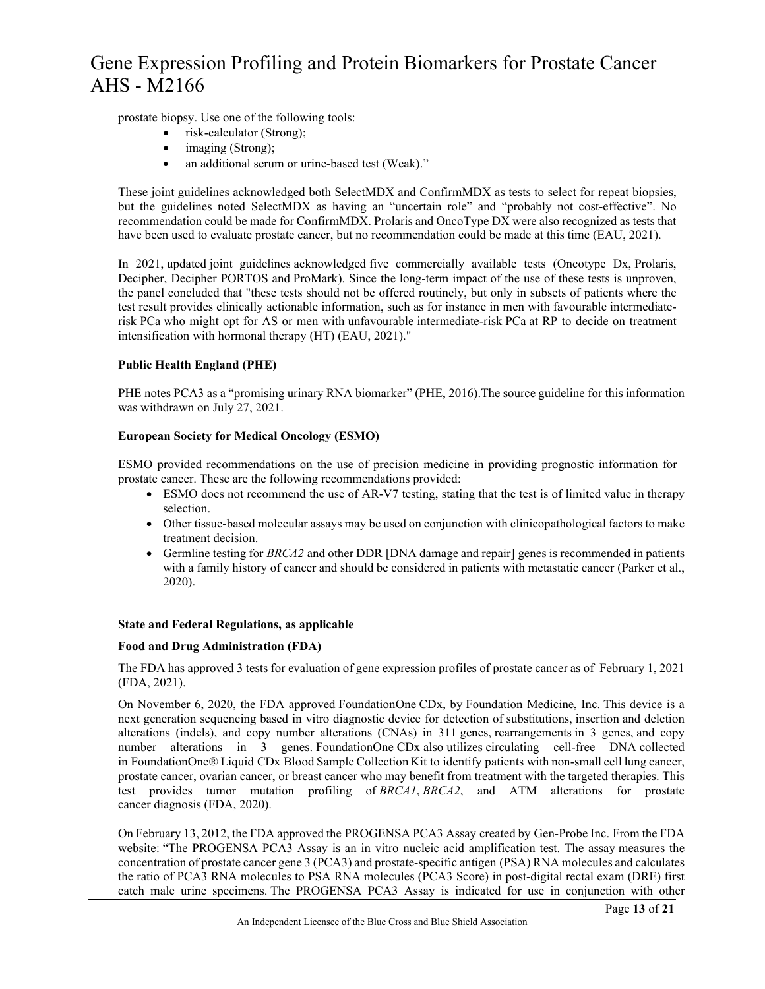prostate biopsy. Use one of the following tools:

- risk-calculator (Strong);
	- imaging (Strong);
	- an additional serum or urine-based test (Weak)."

These joint guidelines acknowledged both SelectMDX and ConfirmMDX as tests to select for repeat biopsies, but the guidelines noted SelectMDX as having an "uncertain role" and "probably not cost-effective". No recommendation could be made for ConfirmMDX. Prolaris and OncoType DX were also recognized as tests that have been used to evaluate prostate cancer, but no recommendation could be made at this time (EAU, 2021).

In 2021, updated joint guidelines acknowledged five commercially available tests (Oncotype Dx, Prolaris, Decipher, Decipher PORTOS and ProMark). Since the long-term impact of the use of these tests is unproven, the panel concluded that "these tests should not be offered routinely, but only in subsets of patients where the test result provides clinically actionable information, such as for instance in men with favourable intermediaterisk PCa who might opt for AS or men with unfavourable intermediate-risk PCa at RP to decide on treatment intensification with hormonal therapy (HT) (EAU, 2021)."

### **Public Health England (PHE)**

PHE notes PCA3 as a "promising urinary RNA biomarker" (PHE, 2016).The source guideline for this information was withdrawn on July 27, 2021.

### **European Society for Medical Oncology (ESMO)**

ESMO provided recommendations on the use of precision medicine in providing prognostic information for prostate cancer. These are the following recommendations provided:

- ESMO does not recommend the use of AR-V7 testing, stating that the test is of limited value in therapy selection.
- Other tissue-based molecular assays may be used on conjunction with clinicopathological factors to make treatment decision.
- Germline testing for *BRCA2* and other DDR [DNA damage and repair] genes is recommended in patients with a family history of cancer and should be considered in patients with metastatic cancer (Parker et al., 2020).

### **State and Federal Regulations, as applicable**

### **Food and Drug Administration (FDA)**

The FDA has approved 3 tests for evaluation of gene expression profiles of prostate cancer as of February 1, 2021 (FDA, 2021).

On November 6, 2020, the FDA approved FoundationOne CDx, by Foundation Medicine, Inc. This device is a next generation sequencing based in vitro diagnostic device for detection of substitutions, insertion and deletion alterations (indels), and copy number alterations (CNAs) in 311 genes, rearrangements in 3 genes, and copy number alterations in 3 genes. FoundationOne CDx also utilizes circulating cell-free DNA collected in FoundationOne® Liquid CDx Blood Sample Collection Kit to identify patients with non-small cell lung cancer, prostate cancer, ovarian cancer, or breast cancer who may benefit from treatment with the targeted therapies. This test provides tumor mutation profiling of *BRCA1*, *BRCA2*, and ATM alterations for prostate cancer diagnosis (FDA, 2020).

On February 13, 2012, the FDA approved the PROGENSA PCA3 Assay created by Gen-Probe Inc. From the FDA website: "The PROGENSA PCA3 Assay is an in vitro nucleic acid amplification test. The assay measures the concentration of prostate cancer gene 3 (PCA3) and prostate-specific antigen (PSA) RNA molecules and calculates the ratio of PCA3 RNA molecules to PSA RNA molecules (PCA3 Score) in post-digital rectal exam (DRE) first catch male urine specimens. The PROGENSA PCA3 Assay is indicated for use in conjunction with other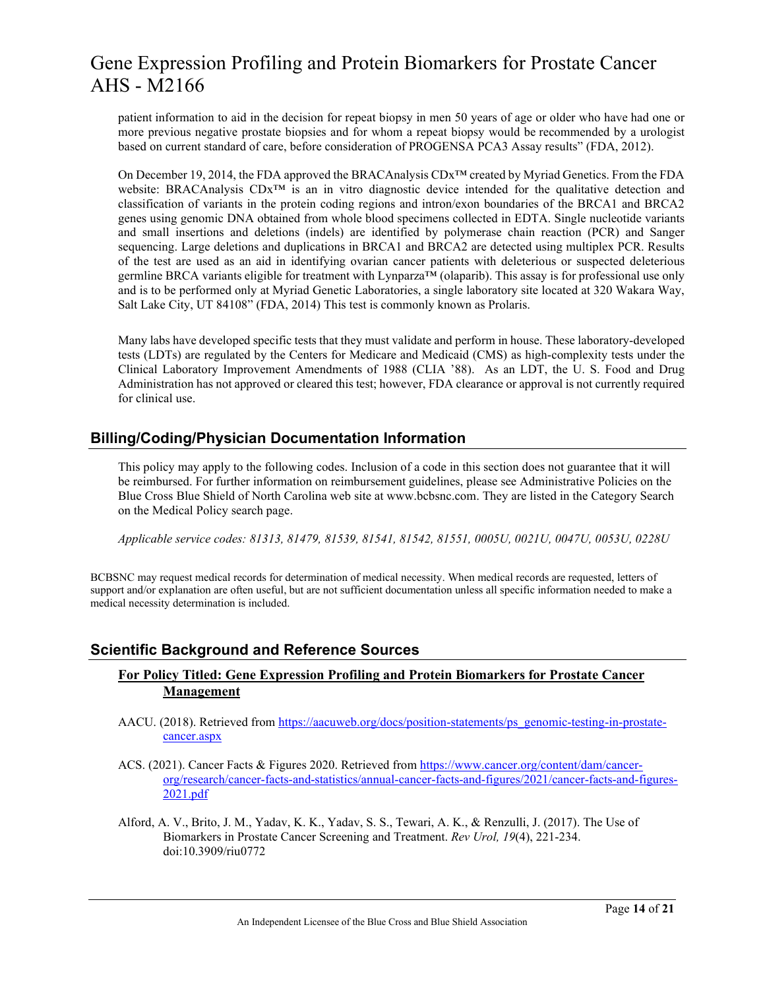patient information to aid in the decision for repeat biopsy in men 50 years of age or older who have had one or more previous negative prostate biopsies and for whom a repeat biopsy would be recommended by a urologist based on current standard of care, before consideration of PROGENSA PCA3 Assay results" (FDA, 2012).

On December 19, 2014, the FDA approved the BRACAnalysis CDx™ created by Myriad Genetics. From the FDA website: BRACAnalysis CDx™ is an in vitro diagnostic device intended for the qualitative detection and classification of variants in the protein coding regions and intron/exon boundaries of the BRCA1 and BRCA2 genes using genomic DNA obtained from whole blood specimens collected in EDTA. Single nucleotide variants and small insertions and deletions (indels) are identified by polymerase chain reaction (PCR) and Sanger sequencing. Large deletions and duplications in BRCA1 and BRCA2 are detected using multiplex PCR. Results of the test are used as an aid in identifying ovarian cancer patients with deleterious or suspected deleterious germline BRCA variants eligible for treatment with Lynparza™ (olaparib). This assay is for professional use only and is to be performed only at Myriad Genetic Laboratories, a single laboratory site located at 320 Wakara Way, Salt Lake City, UT 84108" (FDA, 2014) This test is commonly known as Prolaris.

Many labs have developed specific tests that they must validate and perform in house. These laboratory-developed tests (LDTs) are regulated by the Centers for Medicare and Medicaid (CMS) as high-complexity tests under the Clinical Laboratory Improvement Amendments of 1988 (CLIA '88). As an LDT, the U. S. Food and Drug Administration has not approved or cleared this test; however, FDA clearance or approval is not currently required for clinical use.

### **Billing/Coding/Physician Documentation Information**

This policy may apply to the following codes. Inclusion of a code in this section does not guarantee that it will be reimbursed. For further information on reimbursement guidelines, please see Administrative Policies on the Blue Cross Blue Shield of North Carolina web site at www.bcbsnc.com. They are listed in the Category Search on the Medical Policy search page.

*Applicable service codes: 81313, 81479, 81539, 81541, 81542, 81551, 0005U, 0021U, 0047U, 0053U, 0228U* 

BCBSNC may request medical records for determination of medical necessity. When medical records are requested, letters of support and/or explanation are often useful, but are not sufficient documentation unless all specific information needed to make a medical necessity determination is included.

### **Scientific Background and Reference Sources**

### **For Policy Titled: Gene Expression Profiling and Protein Biomarkers for Prostate Cancer Management**

- AACU. (2018). Retrieved from [https://aacuweb.org/docs/position-statements/ps\\_genomic-testing-in-prostate](https://aacuweb.org/docs/position-statements/ps_genomic-testing-in-prostate-cancer.aspx)[cancer.aspx](https://aacuweb.org/docs/position-statements/ps_genomic-testing-in-prostate-cancer.aspx)
- ACS. (2021). Cancer Facts & Figures 2020. Retrieved from [https://www.cancer.org/content/dam/cancer](https://www.cancer.org/content/dam/cancer-org/research/cancer-facts-and-statistics/annual-cancer-facts-and-figures/2021/cancer-facts-and-figures-2021.pdf)[org/research/cancer-facts-and-statistics/annual-cancer-facts-and-figures/2021/cancer-facts-and-figures-](https://www.cancer.org/content/dam/cancer-org/research/cancer-facts-and-statistics/annual-cancer-facts-and-figures/2021/cancer-facts-and-figures-2021.pdf)[2021.pdf](https://www.cancer.org/content/dam/cancer-org/research/cancer-facts-and-statistics/annual-cancer-facts-and-figures/2021/cancer-facts-and-figures-2021.pdf)
- Alford, A. V., Brito, J. M., Yadav, K. K., Yadav, S. S., Tewari, A. K., & Renzulli, J. (2017). The Use of Biomarkers in Prostate Cancer Screening and Treatment. *Rev Urol, 19*(4), 221-234. doi:10.3909/riu0772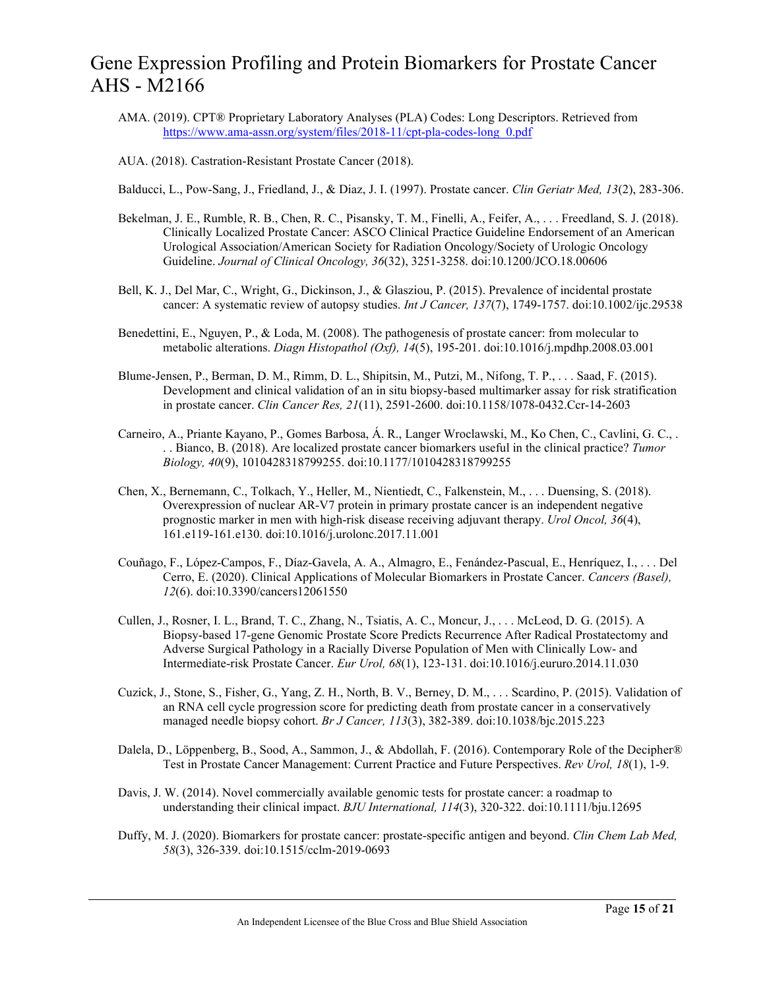- AMA. (2019). CPT® Proprietary Laboratory Analyses (PLA) Codes: Long Descriptors. Retrieved from [https://www.ama-assn.org/system/files/2018-11/cpt-pla-codes-long\\_0.pdf](https://www.ama-assn.org/system/files/2018-11/cpt-pla-codes-long_0.pdf)
- AUA. (2018). Castration-Resistant Prostate Cancer (2018).

Balducci, L., Pow-Sang, J., Friedland, J., & Diaz, J. I. (1997). Prostate cancer. *Clin Geriatr Med, 13*(2), 283-306.

- Bekelman, J. E., Rumble, R. B., Chen, R. C., Pisansky, T. M., Finelli, A., Feifer, A., . . . Freedland, S. J. (2018). Clinically Localized Prostate Cancer: ASCO Clinical Practice Guideline Endorsement of an American Urological Association/American Society for Radiation Oncology/Society of Urologic Oncology Guideline. *Journal of Clinical Oncology, 36*(32), 3251-3258. doi:10.1200/JCO.18.00606
- Bell, K. J., Del Mar, C., Wright, G., Dickinson, J., & Glasziou, P. (2015). Prevalence of incidental prostate cancer: A systematic review of autopsy studies. *Int J Cancer, 137*(7), 1749-1757. doi:10.1002/ijc.29538
- Benedettini, E., Nguyen, P., & Loda, M. (2008). The pathogenesis of prostate cancer: from molecular to metabolic alterations. *Diagn Histopathol (Oxf), 14*(5), 195-201. doi:10.1016/j.mpdhp.2008.03.001
- Blume-Jensen, P., Berman, D. M., Rimm, D. L., Shipitsin, M., Putzi, M., Nifong, T. P., . . . Saad, F. (2015). Development and clinical validation of an in situ biopsy-based multimarker assay for risk stratification in prostate cancer. *Clin Cancer Res, 21*(11), 2591-2600. doi:10.1158/1078-0432.Ccr-14-2603
- Carneiro, A., Priante Kayano, P., Gomes Barbosa, Á. R., Langer Wroclawski, M., Ko Chen, C., Cavlini, G. C., . . . Bianco, B. (2018). Are localized prostate cancer biomarkers useful in the clinical practice? *Tumor Biology, 40*(9), 1010428318799255. doi:10.1177/1010428318799255
- Chen, X., Bernemann, C., Tolkach, Y., Heller, M., Nientiedt, C., Falkenstein, M., . . . Duensing, S. (2018). Overexpression of nuclear AR-V7 protein in primary prostate cancer is an independent negative prognostic marker in men with high-risk disease receiving adjuvant therapy. *Urol Oncol, 36*(4), 161.e119-161.e130. doi:10.1016/j.urolonc.2017.11.001
- Couñago, F., López-Campos, F., Díaz-Gavela, A. A., Almagro, E., Fenández-Pascual, E., Henríquez, I., . . . Del Cerro, E. (2020). Clinical Applications of Molecular Biomarkers in Prostate Cancer. *Cancers (Basel), 12*(6). doi:10.3390/cancers12061550
- Cullen, J., Rosner, I. L., Brand, T. C., Zhang, N., Tsiatis, A. C., Moncur, J., . . . McLeod, D. G. (2015). A Biopsy-based 17-gene Genomic Prostate Score Predicts Recurrence After Radical Prostatectomy and Adverse Surgical Pathology in a Racially Diverse Population of Men with Clinically Low- and Intermediate-risk Prostate Cancer. *Eur Urol, 68*(1), 123-131. doi:10.1016/j.eururo.2014.11.030
- Cuzick, J., Stone, S., Fisher, G., Yang, Z. H., North, B. V., Berney, D. M., . . . Scardino, P. (2015). Validation of an RNA cell cycle progression score for predicting death from prostate cancer in a conservatively managed needle biopsy cohort. *Br J Cancer, 113*(3), 382-389. doi:10.1038/bjc.2015.223
- Dalela, D., Löppenberg, B., Sood, A., Sammon, J., & Abdollah, F. (2016). Contemporary Role of the Decipher® Test in Prostate Cancer Management: Current Practice and Future Perspectives. *Rev Urol, 18*(1), 1-9.
- Davis, J. W. (2014). Novel commercially available genomic tests for prostate cancer: a roadmap to understanding their clinical impact. *BJU International, 114*(3), 320-322. doi:10.1111/bju.12695
- Duffy, M. J. (2020). Biomarkers for prostate cancer: prostate-specific antigen and beyond. *Clin Chem Lab Med, 58*(3), 326-339. doi:10.1515/cclm-2019-0693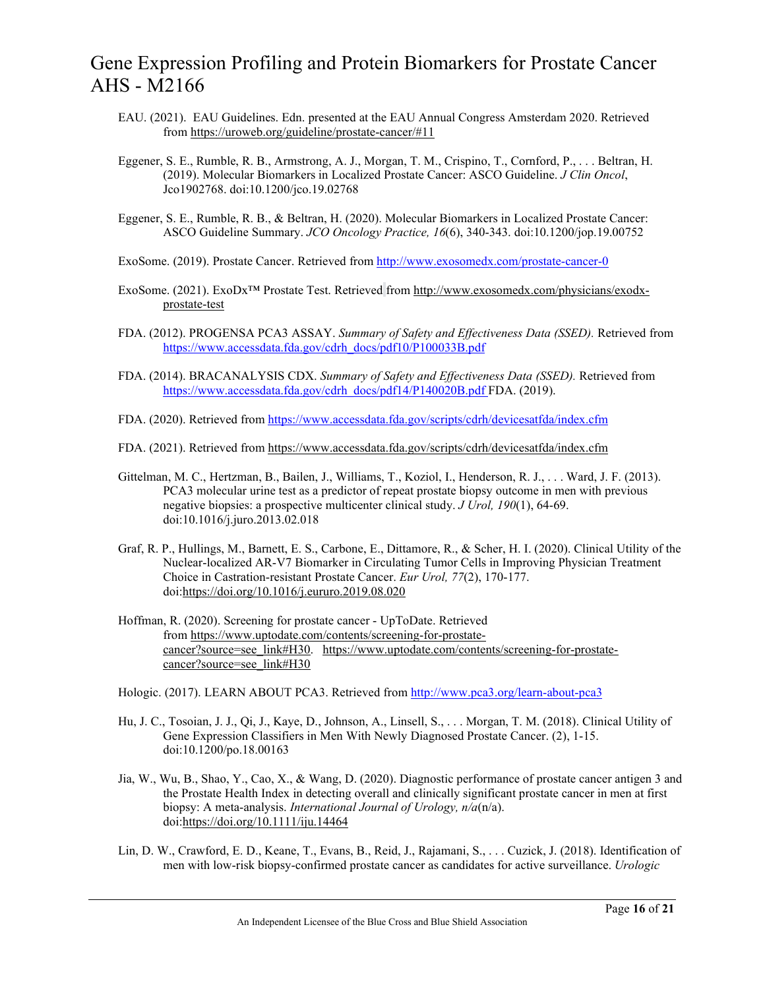- EAU. (2021). EAU Guidelines. Edn. presented at the EAU Annual Congress Amsterdam 2020. Retrieved from <https://uroweb.org/guideline/prostate-cancer/#11>
- Eggener, S. E., Rumble, R. B., Armstrong, A. J., Morgan, T. M., Crispino, T., Cornford, P., . . . Beltran, H. (2019). Molecular Biomarkers in Localized Prostate Cancer: ASCO Guideline. *J Clin Oncol*, Jco1902768. doi:10.1200/jco.19.02768
- Eggener, S. E., Rumble, R. B., & Beltran, H. (2020). Molecular Biomarkers in Localized Prostate Cancer: ASCO Guideline Summary. *JCO Oncology Practice, 16*(6), 340-343. doi:10.1200/jop.19.00752
- ExoSome. (2019). Prostate Cancer. Retrieved fro[m http://www.exosomedx.com/prostate-cancer-0](http://www.exosomedx.com/prostate-cancer-0)
- ExoSome. (2021). ExoDx™ Prostate Test. Retrieved from [http://www.exosomedx.com/physicians/exodx](http://www.exosomedx.com/physicians/exodx-prostate-test)[prostate-test](http://www.exosomedx.com/physicians/exodx-prostate-test)
- FDA. (2012). PROGENSA PCA3 ASSAY. *Summary of Safety and Effectiveness Data (SSED).* Retrieved from [https://www.accessdata.fda.gov/cdrh\\_docs/pdf10/P100033B.pdf](https://www.accessdata.fda.gov/cdrh_docs/pdf10/P100033B.pdf)
- FDA. (2014). BRACANALYSIS CDX. *Summary of Safety and Effectiveness Data (SSED).* Retrieved from [https://www.accessdata.fda.gov/cdrh\\_docs/pdf14/P140020B.pdf](https://www.accessdata.fda.gov/cdrh_docs/pdf14/P140020B.pdf) FDA. (2019).
- FDA. (2020). Retrieved fro[m https://www.accessdata.fda.gov/scripts/cdrh/devicesatfda/index.cfm](https://www.accessdata.fda.gov/scripts/cdrh/devicesatfda/index.cfm)
- FDA. (2021). Retrieved from <https://www.accessdata.fda.gov/scripts/cdrh/devicesatfda/index.cfm>
- Gittelman, M. C., Hertzman, B., Bailen, J., Williams, T., Koziol, I., Henderson, R. J., . . . Ward, J. F. (2013). PCA3 molecular urine test as a predictor of repeat prostate biopsy outcome in men with previous negative biopsies: a prospective multicenter clinical study. *J Urol, 190*(1), 64-69. doi:10.1016/j.juro.2013.02.018
- Graf, R. P., Hullings, M., Barnett, E. S., Carbone, E., Dittamore, R., & Scher, H. I. (2020). Clinical Utility of the Nuclear-localized AR-V7 Biomarker in Circulating Tumor Cells in Improving Physician Treatment Choice in Castration-resistant Prostate Cancer. *Eur Urol, 77*(2), 170-177. doi[:https://doi.org/10.1016/j.eururo.2019.08.020](https://doi.org/10.1016/j.eururo.2019.08.020)
- Hoffman, R. (2020). Screening for prostate cancer UpToDate. Retrieved from [https://www.uptodate.com/contents/screening-for-prostate](https://www.uptodate.com/contents/screening-for-prostate-cancer?source=see_link#H30)[cancer?source=see\\_link#H30. https://www.uptodate.com/contents/screening-for-prostate](https://www.uptodate.com/contents/screening-for-prostate-cancer?source=see_link#H30)[cancer?source=see\\_link#H30](https://www.uptodate.com/contents/screening-for-prostate-cancer?source=see_link#H30)
- Hologic. (2017). LEARN ABOUT PCA3. Retrieved from<http://www.pca3.org/learn-about-pca3>
- Hu, J. C., Tosoian, J. J., Qi, J., Kaye, D., Johnson, A., Linsell, S., . . . Morgan, T. M. (2018). Clinical Utility of Gene Expression Classifiers in Men With Newly Diagnosed Prostate Cancer. (2), 1-15. doi:10.1200/po.18.00163
- Jia, W., Wu, B., Shao, Y., Cao, X., & Wang, D. (2020). Diagnostic performance of prostate cancer antigen 3 and the Prostate Health Index in detecting overall and clinically significant prostate cancer in men at first biopsy: A meta-analysis. *International Journal of Urology, n/a*(n/a). doi[:https://doi.org/10.1111/iju.14464](https://doi.org/10.1111/iju.14464)
- Lin, D. W., Crawford, E. D., Keane, T., Evans, B., Reid, J., Rajamani, S., . . . Cuzick, J. (2018). Identification of men with low-risk biopsy-confirmed prostate cancer as candidates for active surveillance. *Urologic*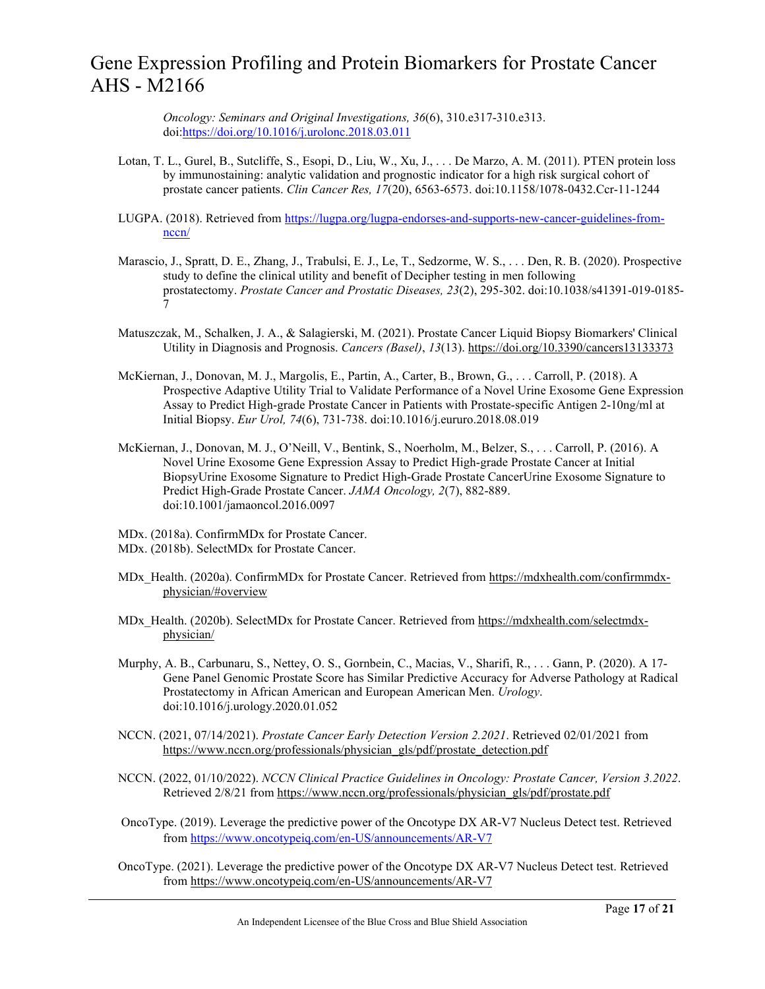*Oncology: Seminars and Original Investigations, 36*(6), 310.e317-310.e313. doi[:https://doi.org/10.1016/j.urolonc.2018.03.011](https://doi.org/10.1016/j.urolonc.2018.03.011)

- Lotan, T. L., Gurel, B., Sutcliffe, S., Esopi, D., Liu, W., Xu, J., . . . De Marzo, A. M. (2011). PTEN protein loss by immunostaining: analytic validation and prognostic indicator for a high risk surgical cohort of prostate cancer patients. *Clin Cancer Res, 17*(20), 6563-6573. doi:10.1158/1078-0432.Ccr-11-1244
- LUGPA. (2018). Retrieved from [https://lugpa.org/lugpa-endorses-and-supports-new-cancer-guidelines-from](https://lugpa.org/lugpa-endorses-and-supports-new-cancer-guidelines-from-nccn/)[nccn/](https://lugpa.org/lugpa-endorses-and-supports-new-cancer-guidelines-from-nccn/)
- Marascio, J., Spratt, D. E., Zhang, J., Trabulsi, E. J., Le, T., Sedzorme, W. S., . . . Den, R. B. (2020). Prospective study to define the clinical utility and benefit of Decipher testing in men following prostatectomy. *Prostate Cancer and Prostatic Diseases, 23*(2), 295-302. doi:10.1038/s41391-019-0185- 7
- Matuszczak, M., Schalken, J. A., & Salagierski, M. (2021). Prostate Cancer Liquid Biopsy Biomarkers' Clinical Utility in Diagnosis and Prognosis. *Cancers (Basel)*, *13*(13)[. https://doi.org/10.3390/cancers13133373](https://doi.org/10.3390/cancers13133373)
- McKiernan, J., Donovan, M. J., Margolis, E., Partin, A., Carter, B., Brown, G., . . . Carroll, P. (2018). A Prospective Adaptive Utility Trial to Validate Performance of a Novel Urine Exosome Gene Expression Assay to Predict High-grade Prostate Cancer in Patients with Prostate-specific Antigen 2-10ng/ml at Initial Biopsy. *Eur Urol, 74*(6), 731-738. doi:10.1016/j.eururo.2018.08.019
- McKiernan, J., Donovan, M. J., O'Neill, V., Bentink, S., Noerholm, M., Belzer, S., . . . Carroll, P. (2016). A Novel Urine Exosome Gene Expression Assay to Predict High-grade Prostate Cancer at Initial BiopsyUrine Exosome Signature to Predict High-Grade Prostate CancerUrine Exosome Signature to Predict High-Grade Prostate Cancer. *JAMA Oncology, 2*(7), 882-889. doi:10.1001/jamaoncol.2016.0097
- MDx. (2018a). ConfirmMDx for Prostate Cancer.
- MDx. (2018b). SelectMDx for Prostate Cancer.
- MDx\_Health. (2020a). ConfirmMDx for Prostate Cancer. Retrieved from [https://mdxhealth.com/confirmmdx](https://mdxhealth.com/confirmmdx-physician/#overview)[physician/#overview](https://mdxhealth.com/confirmmdx-physician/#overview)
- MDx\_Health. (2020b). SelectMDx for Prostate Cancer. Retrieved from [https://mdxhealth.com/selectmdx](https://mdxhealth.com/selectmdx-physician/)[physician/](https://mdxhealth.com/selectmdx-physician/)
- Murphy, A. B., Carbunaru, S., Nettey, O. S., Gornbein, C., Macias, V., Sharifi, R., . . . Gann, P. (2020). A 17- Gene Panel Genomic Prostate Score has Similar Predictive Accuracy for Adverse Pathology at Radical Prostatectomy in African American and European American Men. *Urology*. doi:10.1016/j.urology.2020.01.052
- NCCN. (2021, 07/14/2021). *Prostate Cancer Early Detection Version 2.2021*. Retrieved 02/01/2021 from [https://www.nccn.org/professionals/physician\\_gls/pdf/prostate\\_detection.pdf](https://www.nccn.org/professionals/physician_gls/pdf/prostate_detection.pdf)
- NCCN. (2022, 01/10/2022). *NCCN Clinical Practice Guidelines in Oncology: Prostate Cancer, Version 3.2022*. Retrieved 2/8/21 from [https://www.nccn.org/professionals/physician\\_gls/pdf/prostate.pdf](https://www.nccn.org/professionals/physician_gls/pdf/prostate.pdf)
- OncoType. (2019). Leverage the predictive power of the Oncotype DX AR-V7 Nucleus Detect test. Retrieved fro[m https://www.oncotypeiq.com/en-US/announcements/AR-V7](https://www.oncotypeiq.com/en-US/announcements/AR-V7)
- OncoType. (2021). Leverage the predictive power of the Oncotype DX AR-V7 Nucleus Detect test. Retrieved from <https://www.oncotypeiq.com/en-US/announcements/AR-V7>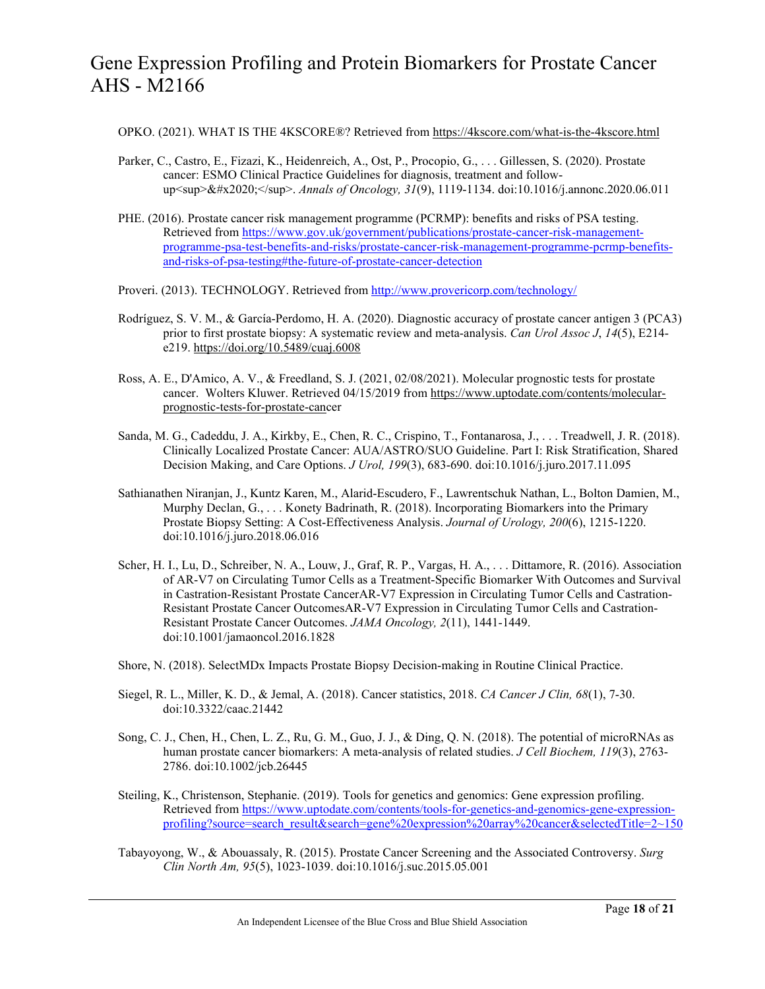- OPKO. (2021). WHAT IS THE 4KSCORE®? Retrieved from <https://4kscore.com/what-is-the-4kscore.html>
- Parker, C., Castro, E., Fizazi, K., Heidenreich, A., Ost, P., Procopio, G., . . . Gillessen, S. (2020). Prostate cancer: ESMO Clinical Practice Guidelines for diagnosis, treatment and followup<sup>&#x2020;</sup>. *Annals of Oncology, 31*(9), 1119-1134. doi:10.1016/j.annonc.2020.06.011
- PHE. (2016). Prostate cancer risk management programme (PCRMP): benefits and risks of PSA testing. Retrieved from [https://www.gov.uk/government/publications/prostate-cancer-risk-management](https://www.gov.uk/government/publications/prostate-cancer-risk-management-programme-psa-test-benefits-and-risks/prostate-cancer-risk-management-programme-pcrmp-benefits-and-risks-of-psa-testing#the-future-of-prostate-cancer-detection)[programme-psa-test-benefits-and-risks/prostate-cancer-risk-management-programme-pcrmp-benefits](https://www.gov.uk/government/publications/prostate-cancer-risk-management-programme-psa-test-benefits-and-risks/prostate-cancer-risk-management-programme-pcrmp-benefits-and-risks-of-psa-testing#the-future-of-prostate-cancer-detection)[and-risks-of-psa-testing#the-future-of-prostate-cancer-detection](https://www.gov.uk/government/publications/prostate-cancer-risk-management-programme-psa-test-benefits-and-risks/prostate-cancer-risk-management-programme-pcrmp-benefits-and-risks-of-psa-testing#the-future-of-prostate-cancer-detection)
- Proveri. (2013). TECHNOLOGY. Retrieved from<http://www.provericorp.com/technology/>
- Rodríguez, S. V. M., & García-Perdomo, H. A. (2020). Diagnostic accuracy of prostate cancer antigen 3 (PCA3) prior to first prostate biopsy: A systematic review and meta-analysis. *Can Urol Assoc J*, *14*(5), E214 e219.<https://doi.org/10.5489/cuaj.6008>
- Ross, A. E., D'Amico, A. V., & Freedland, S. J. (2021, 02/08/2021). Molecular prognostic tests for prostate cancer. Wolters Kluwer. Retrieved 04/15/2019 fro[m https://www.uptodate.com/contents/molecular](https://www.uptodate.com/contents/molecular-prognostic-tests-for-prostate-cancer)[prognostic-tests-for-prostate-canc](https://www.uptodate.com/contents/molecular-prognostic-tests-for-prostate-cancer)er
- Sanda, M. G., Cadeddu, J. A., Kirkby, E., Chen, R. C., Crispino, T., Fontanarosa, J., . . . Treadwell, J. R. (2018). Clinically Localized Prostate Cancer: AUA/ASTRO/SUO Guideline. Part I: Risk Stratification, Shared Decision Making, and Care Options. *J Urol, 199*(3), 683-690. doi:10.1016/j.juro.2017.11.095
- Sathianathen Niranjan, J., Kuntz Karen, M., Alarid-Escudero, F., Lawrentschuk Nathan, L., Bolton Damien, M., Murphy Declan, G., . . . Konety Badrinath, R. (2018). Incorporating Biomarkers into the Primary Prostate Biopsy Setting: A Cost-Effectiveness Analysis. *Journal of Urology, 200*(6), 1215-1220. doi:10.1016/j.juro.2018.06.016
- Scher, H. I., Lu, D., Schreiber, N. A., Louw, J., Graf, R. P., Vargas, H. A., . . . Dittamore, R. (2016). Association of AR-V7 on Circulating Tumor Cells as a Treatment-Specific Biomarker With Outcomes and Survival in Castration-Resistant Prostate CancerAR-V7 Expression in Circulating Tumor Cells and Castration-Resistant Prostate Cancer OutcomesAR-V7 Expression in Circulating Tumor Cells and Castration-Resistant Prostate Cancer Outcomes. *JAMA Oncology, 2*(11), 1441-1449. doi:10.1001/jamaoncol.2016.1828
- Shore, N. (2018). SelectMDx Impacts Prostate Biopsy Decision-making in Routine Clinical Practice.
- Siegel, R. L., Miller, K. D., & Jemal, A. (2018). Cancer statistics, 2018. *CA Cancer J Clin, 68*(1), 7-30. doi:10.3322/caac.21442
- Song, C. J., Chen, H., Chen, L. Z., Ru, G. M., Guo, J. J., & Ding, Q. N. (2018). The potential of microRNAs as human prostate cancer biomarkers: A meta-analysis of related studies. *J Cell Biochem, 119*(3), 2763- 2786. doi:10.1002/jcb.26445
- Steiling, K., Christenson, Stephanie. (2019). Tools for genetics and genomics: Gene expression profiling. Retrieved from [https://www.uptodate.com/contents/tools-for-genetics-and-genomics-gene-expression](https://www.uptodate.com/contents/tools-for-genetics-and-genomics-gene-expression-profiling?source=search_result&search=gene%20expression%20array%20cancer&selectedTitle=2%7E150)[profiling?source=search\\_result&search=gene%20expression%20array%20cancer&selectedTitle=2~150](https://www.uptodate.com/contents/tools-for-genetics-and-genomics-gene-expression-profiling?source=search_result&search=gene%20expression%20array%20cancer&selectedTitle=2%7E150)
- Tabayoyong, W., & Abouassaly, R. (2015). Prostate Cancer Screening and the Associated Controversy. *Surg Clin North Am, 95*(5), 1023-1039. doi:10.1016/j.suc.2015.05.001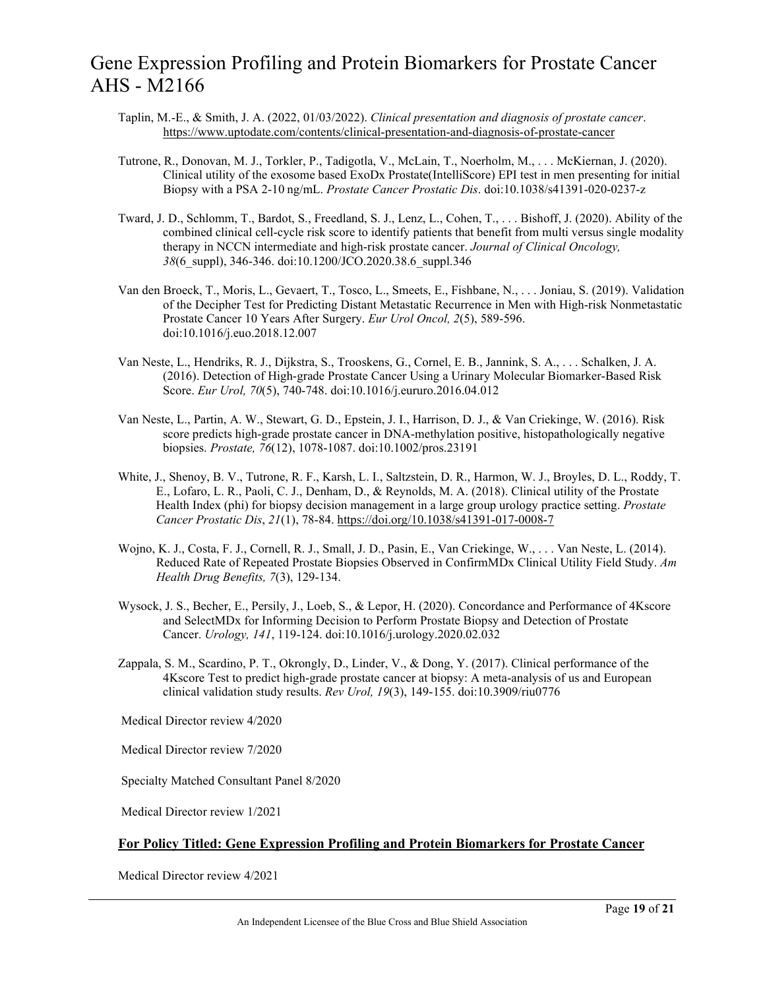- Taplin, M.-E., & Smith, J. A. (2022, 01/03/2022). *Clinical presentation and diagnosis of prostate cancer*. <https://www.uptodate.com/contents/clinical-presentation-and-diagnosis-of-prostate-cancer>
- Tutrone, R., Donovan, M. J., Torkler, P., Tadigotla, V., McLain, T., Noerholm, M., . . . McKiernan, J. (2020). Clinical utility of the exosome based ExoDx Prostate(IntelliScore) EPI test in men presenting for initial Biopsy with a PSA 2-10 ng/mL. *Prostate Cancer Prostatic Dis*. doi:10.1038/s41391-020-0237-z
- Tward, J. D., Schlomm, T., Bardot, S., Freedland, S. J., Lenz, L., Cohen, T., . . . Bishoff, J. (2020). Ability of the combined clinical cell-cycle risk score to identify patients that benefit from multi versus single modality therapy in NCCN intermediate and high-risk prostate cancer. *Journal of Clinical Oncology, 38*(6\_suppl), 346-346. doi:10.1200/JCO.2020.38.6\_suppl.346
- Van den Broeck, T., Moris, L., Gevaert, T., Tosco, L., Smeets, E., Fishbane, N., . . . Joniau, S. (2019). Validation of the Decipher Test for Predicting Distant Metastatic Recurrence in Men with High-risk Nonmetastatic Prostate Cancer 10 Years After Surgery. *Eur Urol Oncol, 2*(5), 589-596. doi:10.1016/j.euo.2018.12.007
- Van Neste, L., Hendriks, R. J., Dijkstra, S., Trooskens, G., Cornel, E. B., Jannink, S. A., . . . Schalken, J. A. (2016). Detection of High-grade Prostate Cancer Using a Urinary Molecular Biomarker-Based Risk Score. *Eur Urol, 70*(5), 740-748. doi:10.1016/j.eururo.2016.04.012
- Van Neste, L., Partin, A. W., Stewart, G. D., Epstein, J. I., Harrison, D. J., & Van Criekinge, W. (2016). Risk score predicts high-grade prostate cancer in DNA-methylation positive, histopathologically negative biopsies. *Prostate, 76*(12), 1078-1087. doi:10.1002/pros.23191
- White, J., Shenoy, B. V., Tutrone, R. F., Karsh, L. I., Saltzstein, D. R., Harmon, W. J., Broyles, D. L., Roddy, T. E., Lofaro, L. R., Paoli, C. J., Denham, D., & Reynolds, M. A. (2018). Clinical utility of the Prostate Health Index (phi) for biopsy decision management in a large group urology practice setting. *Prostate Cancer Prostatic Dis*, *21*(1), 78-84.<https://doi.org/10.1038/s41391-017-0008-7>
- Wojno, K. J., Costa, F. J., Cornell, R. J., Small, J. D., Pasin, E., Van Criekinge, W., . . . Van Neste, L. (2014). Reduced Rate of Repeated Prostate Biopsies Observed in ConfirmMDx Clinical Utility Field Study. *Am Health Drug Benefits, 7*(3), 129-134.
- Wysock, J. S., Becher, E., Persily, J., Loeb, S., & Lepor, H. (2020). Concordance and Performance of 4Kscore and SelectMDx for Informing Decision to Perform Prostate Biopsy and Detection of Prostate Cancer. *Urology, 141*, 119-124. doi:10.1016/j.urology.2020.02.032
- Zappala, S. M., Scardino, P. T., Okrongly, D., Linder, V., & Dong, Y. (2017). Clinical performance of the 4Kscore Test to predict high-grade prostate cancer at biopsy: A meta-analysis of us and European clinical validation study results. *Rev Urol, 19*(3), 149-155. doi:10.3909/riu0776

Medical Director review 4/2020

Medical Director review 7/2020

Specialty Matched Consultant Panel 8/2020

Medical Director review 1/2021

### **For Policy Titled: Gene Expression Profiling and Protein Biomarkers for Prostate Cancer**

Medical Director review 4/2021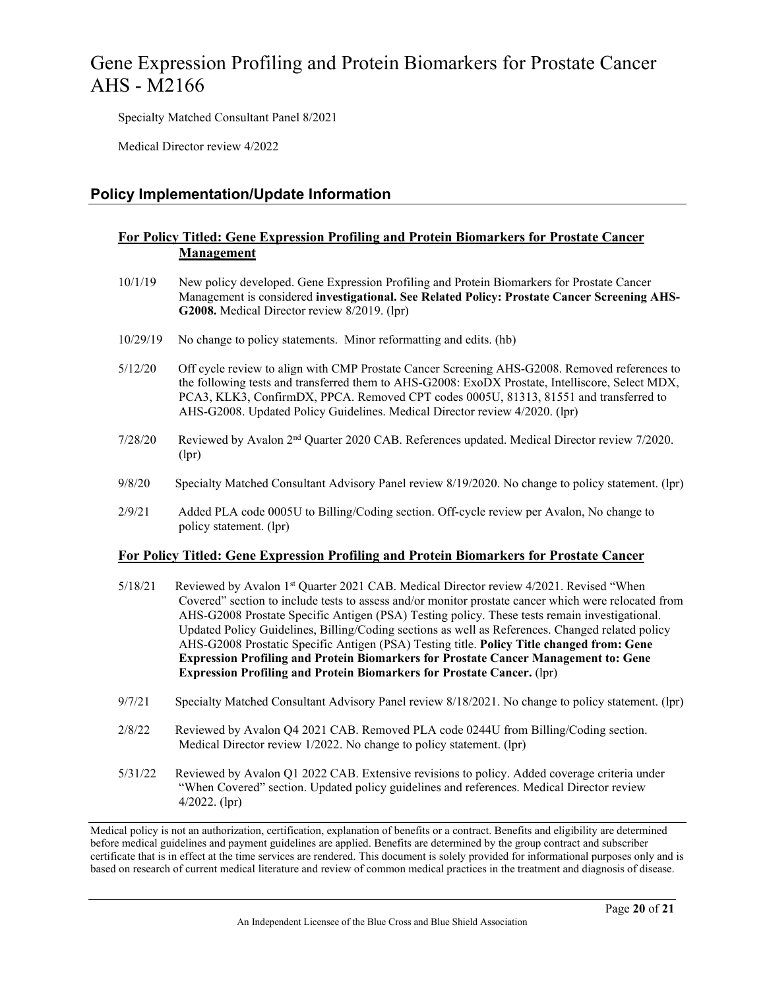Specialty Matched Consultant Panel 8/2021

Medical Director review 4/2022

### **Policy Implementation/Update Information**

### **For Policy Titled: Gene Expression Profiling and Protein Biomarkers for Prostate Cancer Management**

- 10/1/19 New policy developed. Gene Expression Profiling and Protein Biomarkers for Prostate Cancer Management is considered **investigational. See Related Policy: Prostate Cancer Screening AHS-G2008.** Medical Director review 8/2019. (lpr)
- 10/29/19 No change to policy statements. Minor reformatting and edits. (hb)
- 5/12/20 Off cycle review to align with CMP Prostate Cancer Screening AHS-G2008. Removed references to the following tests and transferred them to AHS-G2008: ExoDX Prostate, Intelliscore, Select MDX, PCA3, KLK3, ConfirmDX, PPCA. Removed CPT codes 0005U, 81313, 81551 and transferred to AHS-G2008. Updated Policy Guidelines. Medical Director review 4/2020. (lpr)
- 7/28/20 Reviewed by Avalon 2nd Quarter 2020 CAB. References updated. Medical Director review 7/2020. (lpr)
- 9/8/20 Specialty Matched Consultant Advisory Panel review 8/19/2020. No change to policy statement. (lpr)
- 2/9/21 Added PLA code 0005U to Billing/Coding section. Off-cycle review per Avalon, No change to policy statement. (lpr)

### **For Policy Titled: Gene Expression Profiling and Protein Biomarkers for Prostate Cancer**

- 5/18/21 Reviewed by Avalon 1<sup>st</sup> Quarter 2021 CAB. Medical Director review 4/2021. Revised "When Covered" section to include tests to assess and/or monitor prostate cancer which were relocated from AHS-G2008 Prostate Specific Antigen (PSA) Testing policy. These tests remain investigational. Updated Policy Guidelines, Billing/Coding sections as well as References. Changed related policy AHS-G2008 Prostatic Specific Antigen (PSA) Testing title. **Policy Title changed from: Gene Expression Profiling and Protein Biomarkers for Prostate Cancer Management to: Gene Expression Profiling and Protein Biomarkers for Prostate Cancer.** (lpr)
- 9/7/21 Specialty Matched Consultant Advisory Panel review 8/18/2021. No change to policy statement. (lpr)
- 2/8/22 Reviewed by Avalon Q4 2021 CAB. Removed PLA code 0244U from Billing/Coding section. Medical Director review 1/2022. No change to policy statement. (lpr)
- 5/31/22 Reviewed by Avalon Q1 2022 CAB. Extensive revisions to policy. Added coverage criteria under "When Covered" section. Updated policy guidelines and references. Medical Director review 4/2022. (lpr)

Medical policy is not an authorization, certification, explanation of benefits or a contract. Benefits and eligibility are determined before medical guidelines and payment guidelines are applied. Benefits are determined by the group contract and subscriber certificate that is in effect at the time services are rendered. This document is solely provided for informational purposes only and is based on research of current medical literature and review of common medical practices in the treatment and diagnosis of disease.